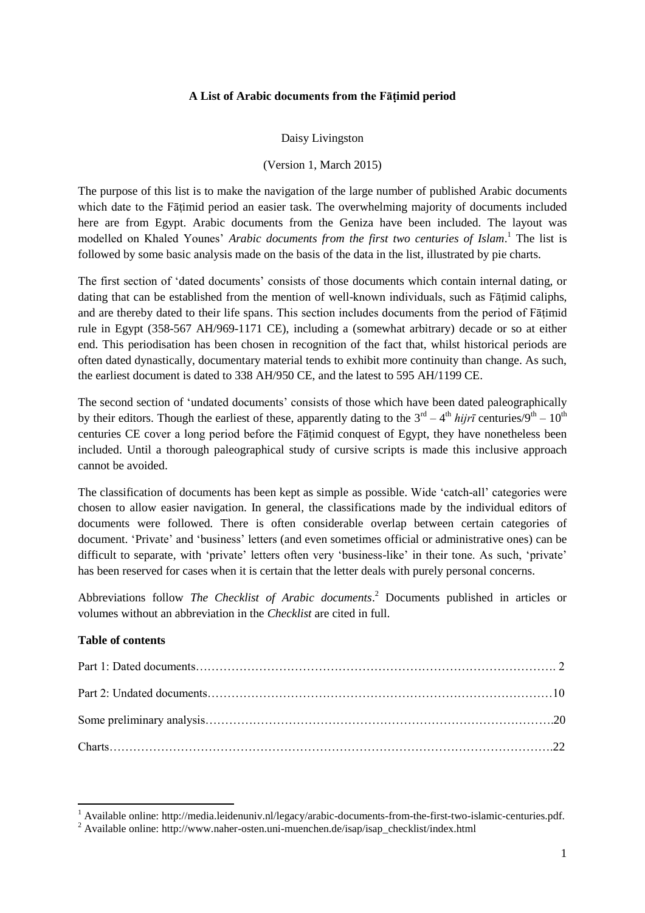# **A List of Arabic documents from the Fāṭimid period**

Daisy Livingston

### (Version 1, March 2015)

The purpose of this list is to make the navigation of the large number of published Arabic documents which date to the Fāṭimid period an easier task. The overwhelming majority of documents included here are from Egypt. Arabic documents from the Geniza have been included. The layout was modelled on Khaled Younes' *Arabic documents from the first two centuries of Islam*. <sup>1</sup> The list is followed by some basic analysis made on the basis of the data in the list, illustrated by pie charts.

The first section of 'dated documents' consists of those documents which contain internal dating, or dating that can be established from the mention of well-known individuals, such as Fāṭimid caliphs, and are thereby dated to their life spans. This section includes documents from the period of Fāṭimid rule in Egypt (358-567 AH/969-1171 CE), including a (somewhat arbitrary) decade or so at either end. This periodisation has been chosen in recognition of the fact that, whilst historical periods are often dated dynastically, documentary material tends to exhibit more continuity than change. As such, the earliest document is dated to 338 AH/950 CE, and the latest to 595 AH/1199 CE.

The second section of 'undated documents' consists of those which have been dated paleographically by their editors. Though the earliest of these, apparently dating to the  $3^{rd} - 4^{th}$  *hijrī* centuries/9<sup>th</sup> – 10<sup>th</sup> centuries CE cover a long period before the Fāṭimid conquest of Egypt, they have nonetheless been included. Until a thorough paleographical study of cursive scripts is made this inclusive approach cannot be avoided.

The classification of documents has been kept as simple as possible. Wide 'catch-all' categories were chosen to allow easier navigation. In general, the classifications made by the individual editors of documents were followed. There is often considerable overlap between certain categories of document. 'Private' and 'business' letters (and even sometimes official or administrative ones) can be difficult to separate, with 'private' letters often very 'business-like' in their tone. As such, 'private' has been reserved for cases when it is certain that the letter deals with purely personal concerns.

Abbreviations follow *The Checklist of Arabic documents*. <sup>2</sup> Documents published in articles or volumes without an abbreviation in the *Checklist* are cited in full.

# **Table of contents**

**.** 

 $1$  Available online: http://media.leidenuniv.nl/legacy/arabic-documents-from-the-first-two-islamic-centuries.pdf.

<sup>&</sup>lt;sup>2</sup> Available online: http://www.naher-osten.uni-muenchen.de/isap/isap\_checklist/index.html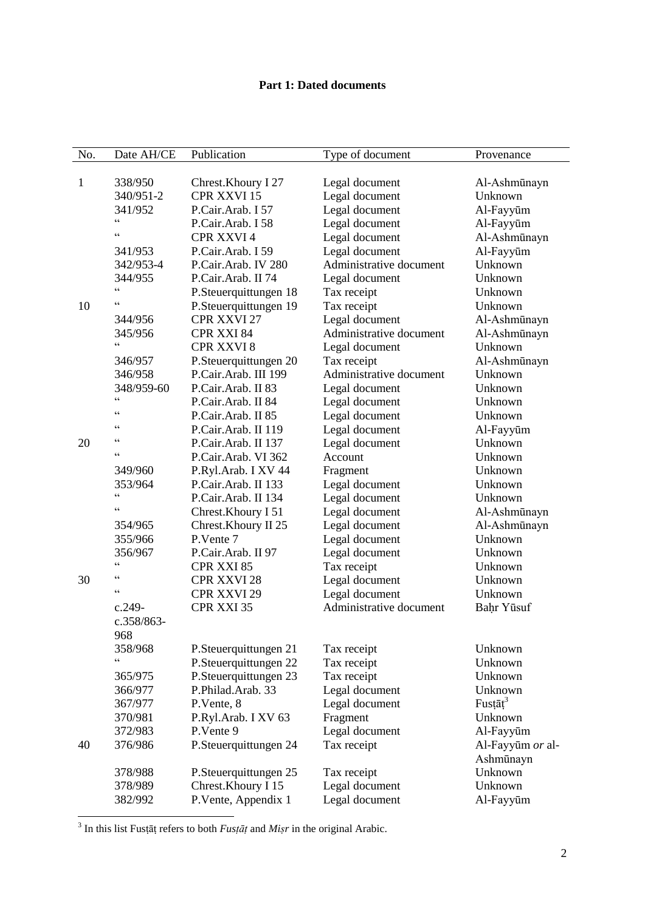# **Part 1: Dated documents**

| No. | Date AH/CE                                        | Publication           | Type of document        | Provenance       |
|-----|---------------------------------------------------|-----------------------|-------------------------|------------------|
|     |                                                   |                       |                         |                  |
| 1   | 338/950                                           | Chrest. Khoury I 27   | Legal document          | Al-Ashmūnayn     |
|     | 340/951-2                                         | <b>CPR XXVI 15</b>    | Legal document          | Unknown          |
|     | 341/952                                           | P.Cair.Arab. I 57     | Legal document          | Al-Fayyūm        |
|     | $\boldsymbol{\varsigma}$ $\boldsymbol{\varsigma}$ | P.Cair.Arab. I 58     | Legal document          | Al-Fayyūm        |
|     | C                                                 | CPR XXVI 4            | Legal document          | Al-Ashmūnayn     |
|     | 341/953                                           | P.Cair.Arab. I 59     | Legal document          | Al-Fayyūm        |
|     | 342/953-4                                         | P.Cair.Arab. IV 280   | Administrative document | Unknown          |
|     | 344/955                                           | P.Cair.Arab. II 74    | Legal document          | Unknown          |
|     | $\boldsymbol{\varsigma}$ $\boldsymbol{\varsigma}$ | P.Steuerquittungen 18 | Tax receipt             | Unknown          |
| 10  | $\boldsymbol{\varsigma}$                          | P.Steuerquittungen 19 | Tax receipt             | Unknown          |
|     | 344/956                                           | CPR XXVI 27           | Legal document          | Al-Ashmūnayn     |
|     | 345/956                                           | CPR XXI 84            | Administrative document | Al-Ashmūnayn     |
|     | cc                                                | <b>CPR XXVI 8</b>     | Legal document          | Unknown          |
|     | 346/957                                           | P.Steuerquittungen 20 | Tax receipt             | Al-Ashmūnayn     |
|     | 346/958                                           | P.Cair.Arab. III 199  | Administrative document | Unknown          |
|     | 348/959-60                                        | P.Cair.Arab. II 83    | Legal document          | Unknown          |
|     | $\zeta$ $\zeta$                                   | P.Cair.Arab. II 84    | Legal document          | Unknown          |
|     | $\zeta$ $\zeta$                                   | P.Cair.Arab. II 85    | Legal document          | Unknown          |
|     | $\zeta$ $\zeta$                                   | P.Cair.Arab. II 119   | Legal document          | Al-Fayyūm        |
| 20  | $\zeta$ $\zeta$                                   | P.Cair.Arab. II 137   | Legal document          | Unknown          |
|     | $\boldsymbol{\varsigma}$                          | P.Cair.Arab. VI 362   | Account                 | Unknown          |
|     | 349/960                                           | P.Ryl.Arab. I XV 44   | Fragment                | Unknown          |
|     | 353/964                                           | P.Cair.Arab. II 133   | Legal document          | Unknown          |
|     | $\zeta$ $\zeta$                                   | P.Cair.Arab. II 134   | Legal document          | Unknown          |
|     | $\zeta$ $\zeta$                                   | Chrest. Khoury I 51   | Legal document          | Al-Ashmūnayn     |
|     | 354/965                                           | Chrest.Khoury II 25   | Legal document          | Al-Ashmūnayn     |
|     | 355/966                                           | P.Vente 7             | Legal document          | Unknown          |
|     | 356/967                                           | P.Cair.Arab. II 97    | Legal document          | Unknown          |
|     | C                                                 | CPR XXI 85            | Tax receipt             | Unknown          |
| 30  | $\zeta$ $\zeta$                                   | <b>CPR XXVI 28</b>    | Legal document          | Unknown          |
|     | C                                                 | CPR XXVI 29           | Legal document          | Unknown          |
|     | $c.249-$                                          | CPR XXI 35            | Administrative document | Bahr Yūsuf       |
|     | c.358/863-                                        |                       |                         |                  |
|     | 968                                               |                       |                         |                  |
|     | 358/968                                           | P.Steuerquittungen 21 | Tax receipt             | Unknown          |
|     | $\epsilon$                                        | P.Steuerquittungen 22 | Tax receipt             | Unknown          |
|     | 365/975                                           | P.Steuerquittungen 23 | Tax receipt             | Unknown          |
|     | 366/977                                           | P.Philad.Arab. 33     | Legal document          | Unknown          |
|     | 367/977                                           | P.Vente, 8            | Legal document          | Fusta $t^3$      |
|     | 370/981                                           | P.Ryl.Arab. I XV 63   | Fragment                | Unknown          |
|     | 372/983                                           | P.Vente 9             | Legal document          | Al-Fayyūm        |
| 40  | 376/986                                           | P.Steuerquittungen 24 | Tax receipt             | Al-Fayyūm or al- |
|     |                                                   |                       |                         | Ashmūnayn        |
|     | 378/988                                           | P.Steuerquittungen 25 | Tax receipt             | Unknown          |
|     | 378/989                                           | Chrest.Khoury I 15    | Legal document          | Unknown          |
|     | 382/992                                           | P.Vente, Appendix 1   | Legal document          | Al-Fayyūm        |

3 In this list Fusṭāṭ refers to both *Fusṭāṭ* and *Miṣr* in the original Arabic.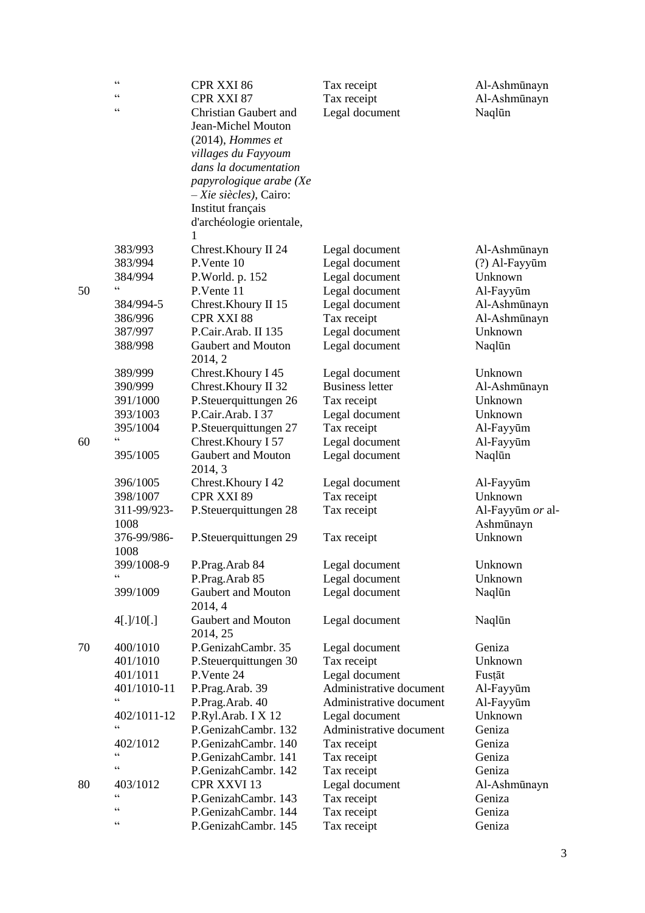|    | $\zeta$ $\zeta$<br>$\subset$ | CPR XXI 86                           | Tax receipt                      | Al-Ashmūnayn      |
|----|------------------------------|--------------------------------------|----------------------------------|-------------------|
|    | $\subset$                    | CPR XXI 87                           | Tax receipt                      | Al-Ashmūnayn      |
|    |                              | <b>Christian Gaubert and</b>         | Legal document                   | Naqlūn            |
|    |                              | Jean-Michel Mouton                   |                                  |                   |
|    |                              | $(2014)$ , Hommes et                 |                                  |                   |
|    |                              | villages du Fayyoum                  |                                  |                   |
|    |                              | dans la documentation                |                                  |                   |
|    |                              | papyrologique arabe (Xe              |                                  |                   |
|    |                              | $-Xie$ siècles), Cairo:              |                                  |                   |
|    |                              | Institut français                    |                                  |                   |
|    |                              | d'archéologie orientale,             |                                  |                   |
|    |                              | 1                                    |                                  |                   |
|    | 383/993                      | Chrest.Khoury II 24                  | Legal document                   | Al-Ashmūnayn      |
|    | 383/994                      | P.Vente 10                           | Legal document                   | (?) Al-Fayyūm     |
|    | 384/994<br>$\epsilon$        | P.World. p. 152                      | Legal document                   | Unknown           |
| 50 |                              | P.Vente 11                           | Legal document                   | Al-Fayyūm         |
|    | 384/994-5                    | Chrest.Khoury II 15                  | Legal document                   | Al-Ashmūnayn      |
|    | 386/996                      | CPR XXI 88                           | Tax receipt                      | Al-Ashmūnayn      |
|    | 387/997                      | P.Cair.Arab. II 135                  | Legal document                   | Unknown           |
|    | 388/998                      | Gaubert and Mouton<br>2014, 2        | Legal document                   | Naqlūn            |
|    | 389/999                      | Chrest.Khoury I 45                   | Legal document                   | Unknown           |
|    | 390/999                      | Chrest.Khoury II 32                  | <b>Business letter</b>           | Al-Ashmūnayn      |
|    | 391/1000                     | P.Steuerquittungen 26                | Tax receipt                      | Unknown           |
|    | 393/1003                     | P.Cair.Arab. I 37                    | Legal document                   | Unknown           |
|    | 395/1004                     | P.Steuerquittungen 27                | Tax receipt                      | Al-Fayyūm         |
| 60 | $C \subset$                  | Chrest.Khoury I 57                   | Legal document                   | Al-Fayyūm         |
|    | 395/1005                     | Gaubert and Mouton                   | Legal document                   | Naqlūn            |
|    |                              | 2014, 3                              |                                  |                   |
|    | 396/1005                     | Chrest.Khoury I 42                   | Legal document                   | Al-Fayyūm         |
|    | 398/1007                     | CPR XXI 89                           | Tax receipt                      | Unknown           |
|    | 311-99/923-                  | P.Steuerquittungen 28                | Tax receipt                      | Al-Fayyūm or al-  |
|    | 1008                         |                                      |                                  | Ashmūnayn         |
|    | 376-99/986-                  | P.Steuerquittungen 29                | Tax receipt                      | Unknown           |
|    | 1008                         |                                      |                                  |                   |
|    | 399/1008-9                   | P.Prag.Arab 84                       | Legal document                   | Unknown           |
|    | 399/1009                     | P.Prag.Arab 85<br>Gaubert and Mouton | Legal document<br>Legal document | Unknown<br>Naqlūn |
|    |                              | 2014, 4                              |                                  |                   |
|    | 4[.]/10[.]                   | Gaubert and Mouton                   | Legal document                   | Naqlūn            |
|    |                              | 2014, 25                             |                                  |                   |
| 70 | 400/1010                     | P.GenizahCambr. 35                   | Legal document                   | Geniza            |
|    | 401/1010                     | P.Steuerquittungen 30                | Tax receipt                      | Unknown           |
|    | 401/1011                     | P.Vente 24                           | Legal document                   | Fustāt            |
|    | 401/1010-11                  | P.Prag.Arab. 39                      | Administrative document          | Al-Fayyūm         |
|    | $\epsilon$                   | P.Prag.Arab. 40                      | Administrative document          | Al-Fayyūm         |
|    | 402/1011-12                  | P.Ryl.Arab. I X 12                   | Legal document                   | Unknown           |
|    | $\epsilon$                   | P.GenizahCambr. 132                  | Administrative document          | Geniza            |
|    | 402/1012                     | P.GenizahCambr. 140                  | Tax receipt                      | Geniza            |
|    | $\epsilon$<br>$\epsilon$     | P.GenizahCambr. 141                  | Tax receipt                      | Geniza            |
|    |                              | P.GenizahCambr. 142                  | Tax receipt                      | Geniza            |
| 80 | 403/1012<br>$\epsilon$       | CPR XXVI 13                          | Legal document                   | Al-Ashmūnayn      |
|    | $\zeta \zeta$                | P.GenizahCambr. 143                  | Tax receipt                      | Geniza            |
|    | $\subset$                    | P.GenizahCambr. 144                  | Tax receipt                      | Geniza            |
|    |                              | P.GenizahCambr. 145                  | Tax receipt                      | Geniza            |

# 3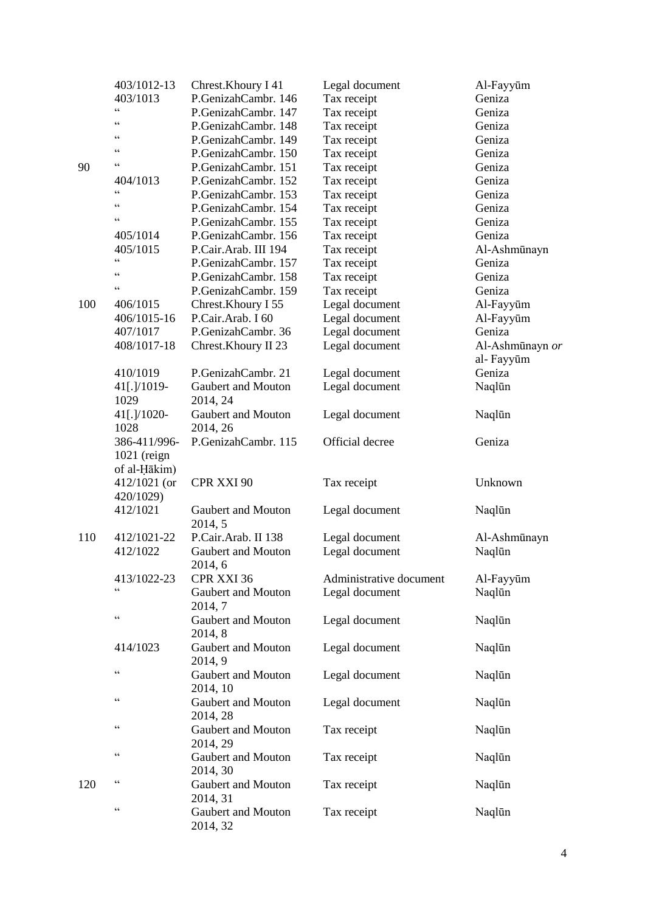|     | 403/1012-13     | Chrest.Khoury I 41             | Legal document          | Al-Fayyūm       |
|-----|-----------------|--------------------------------|-------------------------|-----------------|
|     | 403/1013        | P.GenizahCambr. 146            | Tax receipt             | Geniza          |
|     | $\zeta$ $\zeta$ | P.GenizahCambr. 147            | Tax receipt             | Geniza          |
|     | $\zeta$ $\zeta$ | P.GenizahCambr. 148            | Tax receipt             | Geniza          |
|     | $\zeta$ $\zeta$ | P.GenizahCambr. 149            | Tax receipt             | Geniza          |
|     | $\zeta$ $\zeta$ | P.GenizahCambr. 150            | Tax receipt             | Geniza          |
| 90  | C               | P.GenizahCambr. 151            | Tax receipt             | Geniza          |
|     | 404/1013        | P.GenizahCambr. 152            | Tax receipt             | Geniza          |
|     | $\zeta$ $\zeta$ | P.GenizahCambr. 153            | Tax receipt             | Geniza          |
|     | $\zeta$ $\zeta$ | P.GenizahCambr. 154            | Tax receipt             | Geniza          |
|     | $\zeta$ $\zeta$ | P.GenizahCambr. 155            | Tax receipt             | Geniza          |
|     | 405/1014        | P.GenizahCambr. 156            | Tax receipt             | Geniza          |
|     | 405/1015        | P.Cair.Arab. III 194           | Tax receipt             | Al-Ashmūnayn    |
|     | $\zeta$ $\zeta$ | P.GenizahCambr. 157            | Tax receipt             | Geniza          |
|     | $\zeta$ $\zeta$ | P.GenizahCambr. 158            | Tax receipt             | Geniza          |
|     | C               | P.GenizahCambr. 159            | Tax receipt             | Geniza          |
| 100 | 406/1015        | Chrest.Khoury I 55             | Legal document          | Al-Fayyūm       |
|     | 406/1015-16     | P.Cair.Arab. I 60              | Legal document          | Al-Fayyūm       |
|     | 407/1017        | P.GenizahCambr. 36             | Legal document          | Geniza          |
|     | 408/1017-18     | Chrest.Khoury II 23            | Legal document          | Al-Ashmūnayn or |
|     |                 |                                |                         | al-Fayyūm       |
|     | 410/1019        | P.GenizahCambr. 21             | Legal document          | Geniza          |
|     | 41[.]/1019-     | Gaubert and Mouton             | Legal document          | Naqlūn          |
|     | 1029            | 2014, 24                       |                         |                 |
|     | 41[.]/1020-     | Gaubert and Mouton             | Legal document          | Naqlūn          |
|     | 1028            | 2014, 26                       |                         |                 |
|     | 386-411/996-    | P.GenizahCambr. 115            | Official decree         | Geniza          |
|     | $1021$ (reign   |                                |                         |                 |
|     | of al-Hākim)    |                                |                         |                 |
|     | $412/1021$ (or  | CPR XXI 90                     | Tax receipt             | Unknown         |
|     | 420/1029)       |                                |                         |                 |
|     | 412/1021        | Gaubert and Mouton             | Legal document          | Naqlūn          |
|     |                 | 2014, 5                        |                         |                 |
| 110 | 412/1021-22     | P.Cair.Arab. II 138            | Legal document          | Al-Ashmūnayn    |
|     | 412/1022        | Gaubert and Mouton             | Legal document          | Naqlūn          |
|     |                 | 2014, 6                        |                         |                 |
|     | 413/1022-23     | CPR XXI 36                     | Administrative document | Al-Fayyūm       |
|     | $\zeta$ $\zeta$ | Gaubert and Mouton             | Legal document          | Naqlūn          |
|     |                 | 2014, 7                        |                         |                 |
|     | $\zeta$ $\zeta$ | Gaubert and Mouton             | Legal document          | Naqlūn          |
|     |                 | 2014, 8                        |                         |                 |
|     | 414/1023        | Gaubert and Mouton             | Legal document          | Naqlūn          |
|     |                 | 2014, 9                        |                         |                 |
|     | $\zeta$ $\zeta$ | Gaubert and Mouton             | Legal document          | Naqlūn          |
|     |                 | 2014, 10                       |                         |                 |
|     | $\zeta$ $\zeta$ | Gaubert and Mouton             | Legal document          | Naqlūn          |
|     |                 | 2014, 28                       |                         |                 |
|     | $\zeta$ $\zeta$ | Gaubert and Mouton             | Tax receipt             | Naqlūn          |
|     |                 | 2014, 29                       |                         |                 |
|     | $\zeta$ $\zeta$ | Gaubert and Mouton             | Tax receipt             | Naqlūn          |
|     |                 | 2014, 30                       |                         |                 |
| 120 | $\zeta$ $\zeta$ | Gaubert and Mouton             | Tax receipt             | Naqlūn          |
|     |                 | 2014, 31                       |                         |                 |
|     |                 |                                |                         |                 |
|     | $\zeta$ $\zeta$ | Gaubert and Mouton<br>2014, 32 | Tax receipt             | Naqlūn          |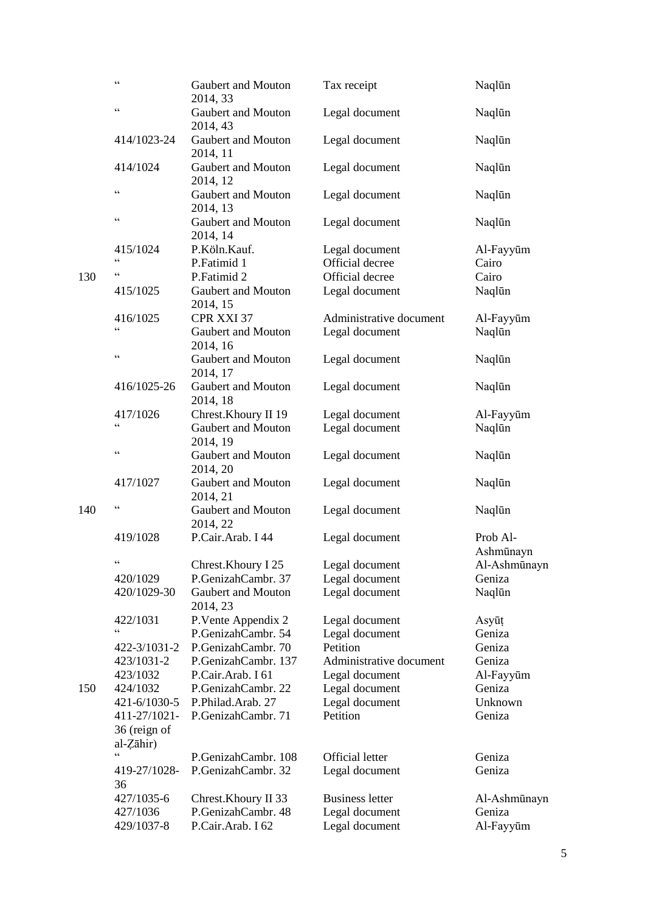|     | $\zeta$ $\zeta$                                   | Gaubert and Mouton<br>2014, 33 | Tax receipt             | Naqlūn                |
|-----|---------------------------------------------------|--------------------------------|-------------------------|-----------------------|
|     | $\zeta$ $\zeta$                                   | Gaubert and Mouton<br>2014, 43 | Legal document          | Naqlūn                |
|     | 414/1023-24                                       | Gaubert and Mouton<br>2014, 11 | Legal document          | Naqlūn                |
|     | 414/1024                                          | Gaubert and Mouton<br>2014, 12 | Legal document          | Naqlūn                |
|     | $\zeta$ $\zeta$                                   | Gaubert and Mouton<br>2014, 13 | Legal document          | Naqlūn                |
|     | $\zeta$ $\zeta$                                   | Gaubert and Mouton<br>2014, 14 | Legal document          | Naqlūn                |
|     | 415/1024                                          | P.Köln.Kauf.                   | Legal document          | Al-Fayyūm             |
|     | $\zeta$ $\zeta$                                   | P.Fatimid 1                    | Official decree         | Cairo                 |
| 130 | $\zeta$ $\zeta$                                   | P.Fatimid 2                    | Official decree         | Cairo                 |
|     | 415/1025                                          | Gaubert and Mouton<br>2014, 15 | Legal document          | Naqlūn                |
|     | 416/1025                                          | CPR XXI 37                     | Administrative document | Al-Fayyūm             |
|     | $\zeta$ $\zeta$                                   | Gaubert and Mouton<br>2014, 16 | Legal document          | Naqlūn                |
|     | $\zeta$ $\zeta$                                   | Gaubert and Mouton<br>2014, 17 | Legal document          | Naqlūn                |
|     | 416/1025-26                                       | Gaubert and Mouton<br>2014, 18 | Legal document          | Naqlūn                |
|     | 417/1026                                          | Chrest.Khoury II 19            | Legal document          | Al-Fayyūm             |
|     | $\zeta$ $\zeta$                                   | Gaubert and Mouton<br>2014, 19 | Legal document          | Naqlūn                |
|     | $\zeta$ $\zeta$                                   | Gaubert and Mouton<br>2014, 20 | Legal document          | Naqlūn                |
|     | 417/1027                                          | Gaubert and Mouton<br>2014, 21 | Legal document          | Naqlūn                |
| 140 | $\zeta$ $\zeta$                                   | Gaubert and Mouton<br>2014, 22 | Legal document          | Naqlūn                |
|     | 419/1028                                          | P.Cair.Arab. I 44              | Legal document          | Prob Al-<br>Ashmūnayn |
|     |                                                   | Chrest.Khoury I 25             | Legal document          | Al-Ashmūnayn          |
|     | 420/1029                                          | P.GenizahCambr. 37             | Legal document          | Geniza                |
|     | 420/1029-30                                       | Gaubert and Mouton<br>2014, 23 | Legal document          | Naqlūn                |
|     | 422/1031                                          | P.Vente Appendix 2             | Legal document          | Asyūt                 |
|     | C                                                 | P.GenizahCambr. 54             | Legal document          | Geniza                |
|     | 422-3/1031-2                                      | P.GenizahCambr. 70             | Petition                | Geniza                |
|     | 423/1031-2                                        | P.GenizahCambr. 137            | Administrative document | Geniza                |
|     | 423/1032                                          | P.Cair.Arab. I 61              | Legal document          | Al-Fayyūm             |
| 150 | 424/1032                                          | P.GenizahCambr. 22             | Legal document          | Geniza                |
|     | 421-6/1030-5                                      | P.Philad.Arab. 27              | Legal document          | Unknown               |
|     | 411-27/1021-<br>36 (reign of<br>$al-Z\bar{a}hir)$ | P.GenizahCambr. 71             | Petition                | Geniza                |
|     | $\zeta$ $\zeta$                                   | P.GenizahCambr. 108            | <b>Official letter</b>  | Geniza                |
|     | 419-27/1028-<br>36                                | P.GenizahCambr. 32             | Legal document          | Geniza                |
|     | 427/1035-6                                        | Chrest.Khoury II 33            | <b>Business letter</b>  | Al-Ashmūnayn          |
|     | 427/1036                                          | P.GenizahCambr. 48             | Legal document          | Geniza                |
|     | 429/1037-8                                        | P.Cair.Arab. I 62              | Legal document          | Al-Fayyūm             |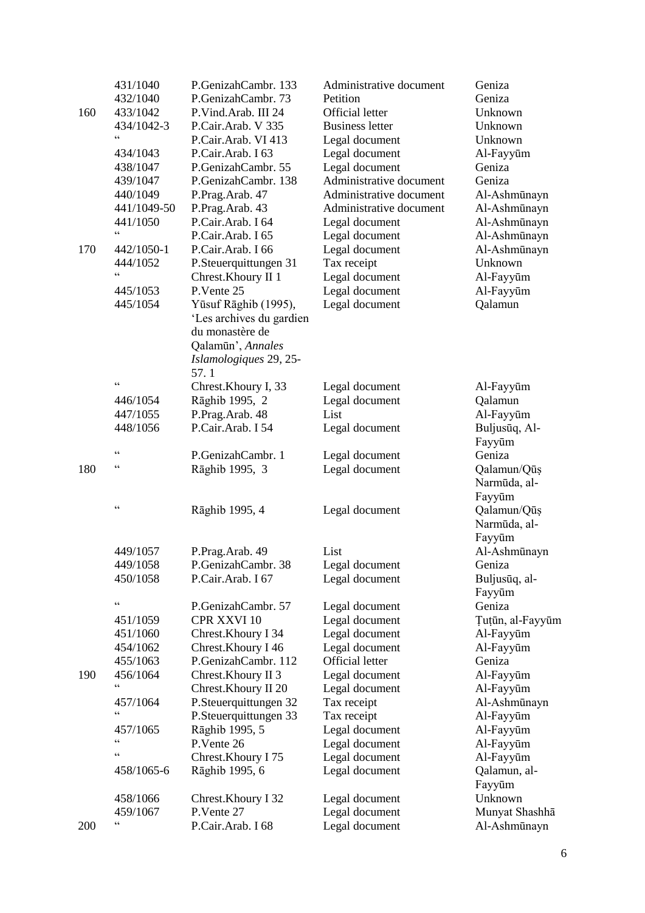|     | 431/1040<br>432/1040 | P.GenizahCambr. 133<br>P.GenizahCambr. 73 | Administrative document<br>Petition | Geniza<br>Geniza |
|-----|----------------------|-------------------------------------------|-------------------------------------|------------------|
| 160 | 433/1042             | P.Vind.Arab. III 24                       | <b>Official letter</b>              | Unknown          |
|     | 434/1042-3           | P.Cair.Arab. V 335                        | <b>Business letter</b>              | Unknown          |
|     | $\zeta\,\zeta$       | P.Cair.Arab. VI 413                       | Legal document                      | Unknown          |
|     | 434/1043             | P.Cair.Arab. I 63                         | Legal document                      | Al-Fayyūm        |
|     | 438/1047             | P.GenizahCambr. 55                        | Legal document                      | Geniza           |
|     | 439/1047             | P.GenizahCambr. 138                       | Administrative document             | Geniza           |
|     | 440/1049             | P.Prag.Arab. 47                           | Administrative document             | Al-Ashmūnayn     |
|     | 441/1049-50          | P.Prag.Arab. 43                           | Administrative document             | Al-Ashmūnayn     |
|     | 441/1050             | P.Cair.Arab. I 64                         | Legal document                      | Al-Ashmūnayn     |
|     | $\epsilon$           | P.Cair.Arab. I 65                         | Legal document                      | Al-Ashmūnayn     |
| 170 | 442/1050-1           | P.Cair.Arab. I 66                         | Legal document                      | Al-Ashmūnayn     |
|     | 444/1052             | P.Steuerquittungen 31                     | Tax receipt                         | Unknown          |
|     | $\epsilon$           | Chrest.Khoury II 1                        | Legal document                      | Al-Fayyūm        |
|     | 445/1053             | P.Vente 25                                | Legal document                      | Al-Fayyūm        |
|     | 445/1054             | Yūsuf Rāghib (1995),                      | Legal document                      | Qalamun          |
|     |                      | 'Les archives du gardien                  |                                     |                  |
|     |                      | du monastère de                           |                                     |                  |
|     |                      | Qalamūn', Annales                         |                                     |                  |
|     |                      | Islamologiques 29, 25-                    |                                     |                  |
|     |                      | 57.1                                      |                                     |                  |
|     | $\zeta$ $\zeta$      | Chrest.Khoury I, 33                       | Legal document                      | Al-Fayyūm        |
|     | 446/1054             | Rāghib 1995, 2                            | Legal document                      | Qalamun          |
|     | 447/1055             | P.Prag.Arab. 48                           | List                                | Al-Fayyūm        |
|     | 448/1056             | P.Cair.Arab. I 54                         | Legal document                      | Buljusūq, Al-    |
|     |                      |                                           |                                     | Fayyūm           |
|     | $\zeta$ $\zeta$      | P.GenizahCambr. 1                         | Legal document                      | Geniza           |
| 180 | $\zeta$ $\zeta$      | Rāghib 1995, 3                            | Legal document                      | Qalamun/Qūṣ      |
|     |                      |                                           |                                     | Narmūda, al-     |
|     |                      |                                           |                                     | Fayyūm           |
|     | $\zeta$ $\zeta$      | Rāghib 1995, 4                            | Legal document                      | Qalamun/Qūṣ      |
|     |                      |                                           |                                     | Narmūda, al-     |
|     |                      |                                           |                                     | Fayyūm           |
|     | 449/1057             | P.Prag.Arab. 49                           | List                                | Al-Ashmūnayn     |
|     | 449/1058             | P.GenizahCambr. 38                        | Legal document                      | Geniza           |
|     | 450/1058             | P.Cair.Arab. I 67                         | Legal document                      | Buljusūq, al-    |
|     |                      |                                           |                                     | Fayyūm           |
|     | $\zeta$ $\zeta$      | P.GenizahCambr. 57                        | Legal document                      | Geniza           |
|     | 451/1059             | CPR XXVI 10                               | Legal document                      | Tuțūn, al-Fayyūm |
|     | 451/1060             | Chrest. Khoury I 34                       | Legal document                      | Al-Fayyūm        |
|     | 454/1062             | Chrest. Khoury I 46                       | Legal document                      | Al-Fayyūm        |
|     | 455/1063             | P.GenizahCambr. 112                       | Official letter                     | Geniza           |
| 190 | 456/1064             | Chrest.Khoury II 3                        | Legal document                      | Al-Fayyūm        |
|     | $\epsilon$           | Chrest.Khoury II 20                       | Legal document                      | Al-Fayyūm        |
|     | 457/1064             | P.Steuerquittungen 32                     | Tax receipt                         | Al-Ashmūnayn     |
|     | $\epsilon$           | P.Steuerquittungen 33                     | Tax receipt                         | Al-Fayyūm        |
|     | 457/1065             | Rāghib 1995, 5                            | Legal document                      | Al-Fayyūm        |
|     | $\zeta$ $\zeta$      | P.Vente 26                                | Legal document                      | Al-Fayyūm        |
|     | $\zeta$ $\zeta$      | Chrest. Khoury I 75                       | Legal document                      | Al-Fayyūm        |
|     | 458/1065-6           | Rāghib 1995, 6                            | Legal document                      | Qalamun, al-     |
|     |                      |                                           |                                     | Fayyūm           |
|     | 458/1066             | Chrest. Khoury I 32                       | Legal document                      | Unknown          |
|     | 459/1067             | P.Vente 27                                | Legal document                      | Munyat Shashha   |
| 200 | $\zeta$ $\zeta$      | P.Cair.Arab. I 68                         | Legal document                      | Al-Ashmūnayn     |
|     |                      |                                           |                                     |                  |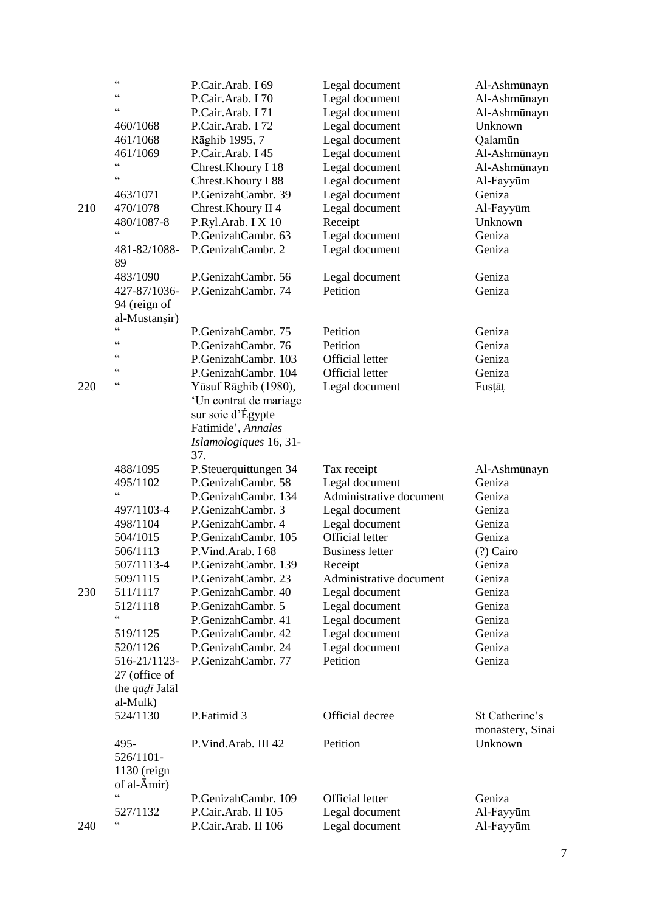| 210 | $\zeta$ $\zeta$<br>C<br>$\zeta$ $\zeta$<br>460/1068<br>461/1068<br>461/1069<br>$\zeta$ $\zeta$<br>$\zeta$ $\zeta$<br>463/1071<br>470/1078<br>480/1087-8<br>$\zeta$ $\zeta$<br>481-82/1088- | P.Cair.Arab. I 69<br>P.Cair.Arab. I 70<br>P.Cair.Arab. I 71<br>P.Cair.Arab. I 72<br>Rāghib 1995, 7<br>P.Cair.Arab. I 45<br>Chrest. Khoury I 18<br>Chrest.Khoury I 88<br>P.GenizahCambr. 39<br>Chrest. Khoury II 4<br>P.Ryl.Arab. I X 10<br>P.GenizahCambr. 63<br>P.GenizahCambr. 2 | Legal document<br>Legal document<br>Legal document<br>Legal document<br>Legal document<br>Legal document<br>Legal document<br>Legal document<br>Legal document<br>Legal document<br>Receipt<br>Legal document<br>Legal document | Al-Ashmūnayn<br>Al-Ashmūnayn<br>Al-Ashmūnayn<br>Unknown<br>Qalamūn<br>Al-Ashmūnayn<br>Al-Ashmūnayn<br>Al-Fayyūm<br>Geniza<br>Al-Fayyūm<br>Unknown<br>Geniza<br>Geniza |
|-----|--------------------------------------------------------------------------------------------------------------------------------------------------------------------------------------------|------------------------------------------------------------------------------------------------------------------------------------------------------------------------------------------------------------------------------------------------------------------------------------|---------------------------------------------------------------------------------------------------------------------------------------------------------------------------------------------------------------------------------|-----------------------------------------------------------------------------------------------------------------------------------------------------------------------|
|     | 89<br>483/1090<br>427-87/1036-<br>94 (reign of<br>al-Mustansir)                                                                                                                            | P.GenizahCambr. 56<br>P.GenizahCambr. 74                                                                                                                                                                                                                                           | Legal document<br>Petition                                                                                                                                                                                                      | Geniza<br>Geniza                                                                                                                                                      |
|     | $\zeta$ $\zeta$<br>C<br>C C<br>C                                                                                                                                                           | P.GenizahCambr. 75<br>P.GenizahCambr. 76<br>P.GenizahCambr. 103<br>P.GenizahCambr. 104                                                                                                                                                                                             | Petition<br>Petition<br><b>Official letter</b><br><b>Official letter</b>                                                                                                                                                        | Geniza<br>Geniza<br>Geniza<br>Geniza                                                                                                                                  |
| 220 | C C                                                                                                                                                                                        | Yūsuf Rāghib (1980),<br>'Un contrat de mariage<br>sur soie d'Égypte<br>Fatimide', Annales<br>Islamologiques 16, 31-<br>37.                                                                                                                                                         | Legal document                                                                                                                                                                                                                  | Fustāt                                                                                                                                                                |
|     | 488/1095                                                                                                                                                                                   | P.Steuerquittungen 34                                                                                                                                                                                                                                                              | Tax receipt                                                                                                                                                                                                                     | Al-Ashmūnayn                                                                                                                                                          |
|     | 495/1102                                                                                                                                                                                   | P.GenizahCambr. 58                                                                                                                                                                                                                                                                 | Legal document                                                                                                                                                                                                                  | Geniza                                                                                                                                                                |
|     | $\zeta$ $\zeta$                                                                                                                                                                            | P.GenizahCambr. 134                                                                                                                                                                                                                                                                | Administrative document                                                                                                                                                                                                         | Geniza                                                                                                                                                                |
|     | 497/1103-4                                                                                                                                                                                 | P.GenizahCambr. 3                                                                                                                                                                                                                                                                  | Legal document                                                                                                                                                                                                                  | Geniza                                                                                                                                                                |
|     | 498/1104                                                                                                                                                                                   | P.GenizahCambr. 4                                                                                                                                                                                                                                                                  | Legal document                                                                                                                                                                                                                  | Geniza                                                                                                                                                                |
|     | 504/1015                                                                                                                                                                                   | P.GenizahCambr. 105                                                                                                                                                                                                                                                                | <b>Official letter</b>                                                                                                                                                                                                          | Geniza                                                                                                                                                                |
|     | 506/1113                                                                                                                                                                                   | P.Vind.Arab. I 68                                                                                                                                                                                                                                                                  | <b>Business letter</b>                                                                                                                                                                                                          | (?) Cairo                                                                                                                                                             |
|     | 507/1113-4                                                                                                                                                                                 | P.GenizahCambr. 139                                                                                                                                                                                                                                                                | Receipt                                                                                                                                                                                                                         | Geniza                                                                                                                                                                |
|     | 509/1115<br>511/1117                                                                                                                                                                       | P.GenizahCambr. 23<br>P.GenizahCambr. 40                                                                                                                                                                                                                                           | Administrative document                                                                                                                                                                                                         | Geniza                                                                                                                                                                |
| 230 | 512/1118                                                                                                                                                                                   | P.GenizahCambr. 5                                                                                                                                                                                                                                                                  | Legal document<br>Legal document                                                                                                                                                                                                | Geniza<br>Geniza                                                                                                                                                      |
|     | $\subset$                                                                                                                                                                                  | P.GenizahCambr. 41                                                                                                                                                                                                                                                                 | Legal document                                                                                                                                                                                                                  | Geniza                                                                                                                                                                |
|     | 519/1125                                                                                                                                                                                   | P.GenizahCambr. 42                                                                                                                                                                                                                                                                 | Legal document                                                                                                                                                                                                                  | Geniza                                                                                                                                                                |
|     | 520/1126                                                                                                                                                                                   | P.GenizahCambr. 24                                                                                                                                                                                                                                                                 | Legal document                                                                                                                                                                                                                  | Geniza                                                                                                                                                                |
|     | 516-21/1123-<br>27 (office of<br>the <i>qadī</i> Jalāl                                                                                                                                     | P.GenizahCambr. 77                                                                                                                                                                                                                                                                 | Petition                                                                                                                                                                                                                        | Geniza                                                                                                                                                                |
|     | al-Mulk)<br>524/1130                                                                                                                                                                       | P.Fatimid 3                                                                                                                                                                                                                                                                        | Official decree                                                                                                                                                                                                                 | St Catherine's<br>monastery, Sinai                                                                                                                                    |
|     | 495-<br>526/1101-<br>$1130$ (reign<br>of al- $\bar{A}$ mir)                                                                                                                                | P.Vind.Arab. III 42                                                                                                                                                                                                                                                                | Petition                                                                                                                                                                                                                        | Unknown                                                                                                                                                               |
|     | $\zeta$ $\zeta$                                                                                                                                                                            | P.GenizahCambr. 109                                                                                                                                                                                                                                                                | <b>Official letter</b>                                                                                                                                                                                                          | Geniza                                                                                                                                                                |
|     | 527/1132                                                                                                                                                                                   | P.Cair.Arab. II 105                                                                                                                                                                                                                                                                | Legal document                                                                                                                                                                                                                  | Al-Fayyūm                                                                                                                                                             |
| 240 | $\zeta$ $\zeta$                                                                                                                                                                            | P.Cair.Arab. II 106                                                                                                                                                                                                                                                                | Legal document                                                                                                                                                                                                                  | Al-Fayyūm                                                                                                                                                             |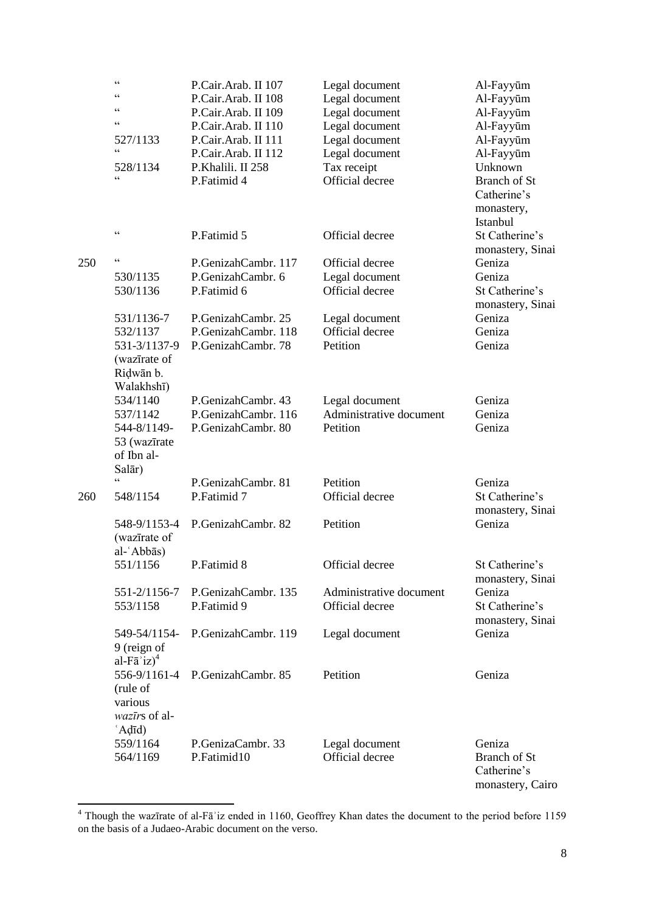|     | $\zeta$ $\zeta$<br>C C<br>$\zeta$ $\zeta$<br>$\epsilon$<br>527/1133<br>$\zeta$ $\zeta$<br>528/1134<br>$\epsilon$ | P.Cair.Arab. II 107<br>P.Cair.Arab. II 108<br>P.Cair.Arab. II 109<br>P.Cair.Arab. II 110<br>P.Cair.Arab. II 111<br>P.Cair.Arab. II 112<br>P.Khalili. II 258<br>P.Fatimid 4 | Legal document<br>Legal document<br>Legal document<br>Legal document<br>Legal document<br>Legal document<br>Tax receipt<br>Official decree | Al-Fayyūm<br>Al-Fayyūm<br>Al-Fayyūm<br>Al-Fayyūm<br>Al-Fayyūm<br>Al-Fayyūm<br>Unknown<br><b>Branch of St</b><br>Catherine's<br>monastery,<br>Istanbul |
|-----|------------------------------------------------------------------------------------------------------------------|----------------------------------------------------------------------------------------------------------------------------------------------------------------------------|--------------------------------------------------------------------------------------------------------------------------------------------|-------------------------------------------------------------------------------------------------------------------------------------------------------|
|     | $\zeta$ $\zeta$                                                                                                  | P.Fatimid 5                                                                                                                                                                | Official decree                                                                                                                            | St Catherine's<br>monastery, Sinai                                                                                                                    |
| 250 | $\zeta$ $\zeta$<br>530/1135<br>530/1136                                                                          | P.GenizahCambr. 117<br>P.GenizahCambr. 6<br>P.Fatimid 6                                                                                                                    | Official decree<br>Legal document<br>Official decree                                                                                       | Geniza<br>Geniza<br>St Catherine's<br>monastery, Sinai                                                                                                |
|     | 531/1136-7<br>532/1137<br>531-3/1137-9<br>(wazīrate of<br>Ridwān b.<br>Walakhshī)                                | P.GenizahCambr. 25<br>P.GenizahCambr. 118<br>P.GenizahCambr. 78                                                                                                            | Legal document<br>Official decree<br>Petition                                                                                              | Geniza<br>Geniza<br>Geniza                                                                                                                            |
|     | 534/1140<br>537/1142<br>544-8/1149-<br>53 (wazīrate<br>of Ibn al-<br>Salār)                                      | P.GenizahCambr. 43<br>P.GenizahCambr. 116<br>P.GenizahCambr. 80                                                                                                            | Legal document<br>Administrative document<br>Petition                                                                                      | Geniza<br>Geniza<br>Geniza                                                                                                                            |
| 260 | $\epsilon$<br>548/1154                                                                                           | P.GenizahCambr. 81<br>P.Fatimid 7                                                                                                                                          | Petition<br>Official decree                                                                                                                | Geniza<br>St Catherine's<br>monastery, Sinai                                                                                                          |
|     | 548-9/1153-4<br>(wazīrate of                                                                                     | P.GenizahCambr. 82                                                                                                                                                         | Petition                                                                                                                                   | Geniza                                                                                                                                                |
|     | al-ʿAbbās)<br>551/1156                                                                                           | P.Fatimid 8                                                                                                                                                                | Official decree                                                                                                                            | St Catherine's<br>monastery, Sinai                                                                                                                    |
|     | 551-2/1156-7<br>553/1158                                                                                         | P.GenizahCambr. 135<br>P.Fatimid 9                                                                                                                                         | Administrative document<br>Official decree                                                                                                 | Geniza<br>St Catherine's<br>monastery, Sinai                                                                                                          |
|     | 549-54/1154-<br>9 (reign of<br>al-F $\bar{a}$ 'iz) <sup>4</sup>                                                  | P.GenizahCambr. 119                                                                                                                                                        | Legal document                                                                                                                             | Geniza                                                                                                                                                |
|     | 556-9/1161-4<br>(rule of<br>various<br>wazīrs of al-<br>$' \text{Ad} \vec{\mathsf{n}}$                           | P.GenizahCambr. 85                                                                                                                                                         | Petition                                                                                                                                   | Geniza                                                                                                                                                |
|     | 559/1164<br>564/1169                                                                                             | P.GenizaCambr. 33<br>P.Fatimid10                                                                                                                                           | Legal document<br>Official decree                                                                                                          | Geniza<br><b>Branch of St</b><br>Catherine's<br>monastery, Cairo                                                                                      |

 $4$  Though the wazīrate of al-Fā'iz ended in 1160, Geoffrey Khan dates the document to the period before 1159 on the basis of a Judaeo-Arabic document on the verso.

**.**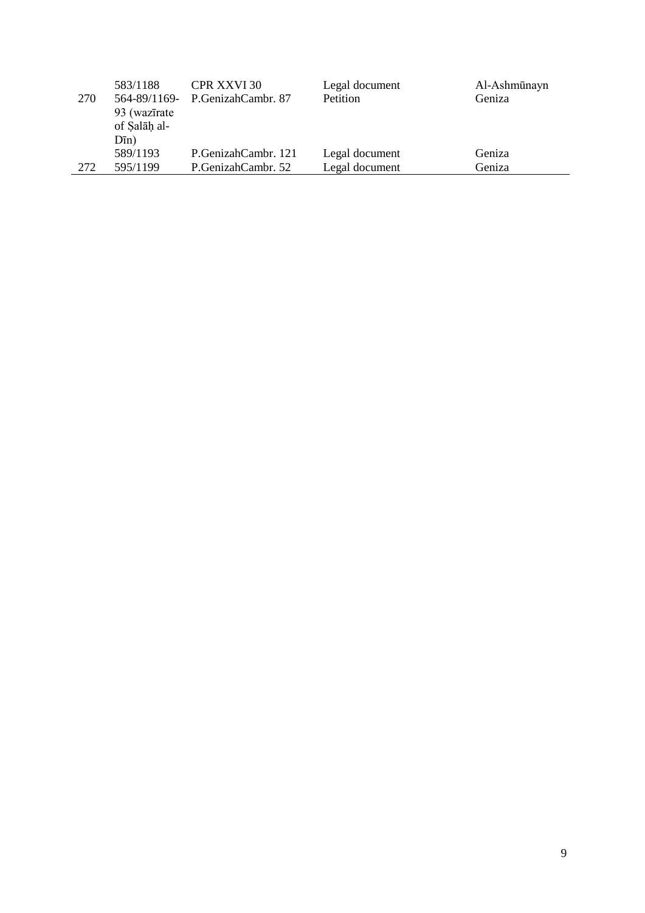|     | 583/1188     | <b>CPR XXVI 30</b>              | Legal document  | Al-Ashmūnayn |
|-----|--------------|---------------------------------|-----------------|--------------|
| 270 |              | 564-89/1169- P.GenizahCambr. 87 | <b>Petition</b> | Geniza       |
|     | 93 (wazīrate |                                 |                 |              |
|     | of Salāh al- |                                 |                 |              |
|     | $D\bar{m}$ ) |                                 |                 |              |
|     | 589/1193     | P.GenizahCambr. 121             | Legal document  | Geniza       |
| 272 | 595/1199     | P.GenizahCambr. 52              | Legal document  | Geniza       |
|     |              |                                 |                 |              |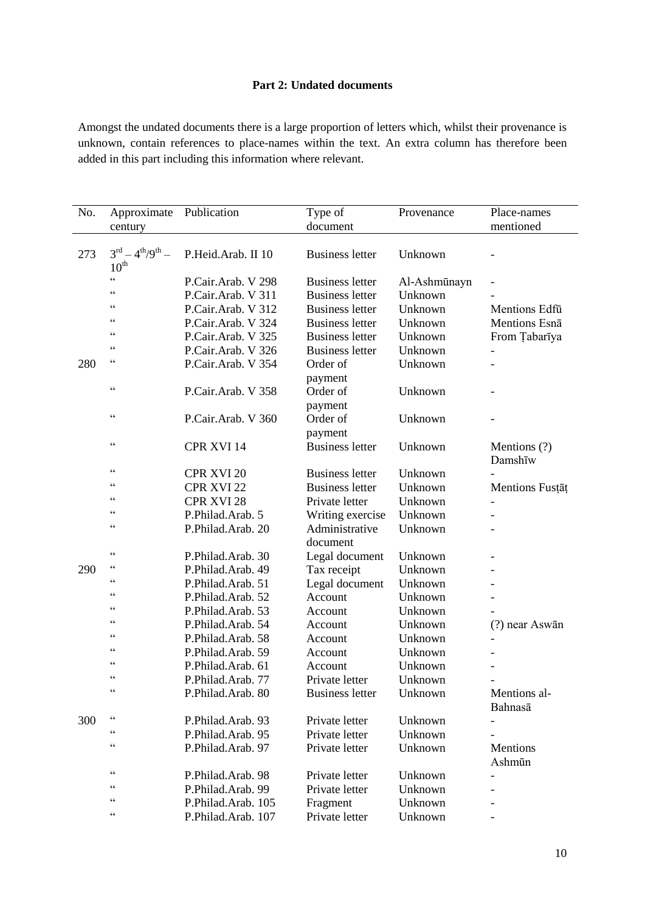# **Part 2: Undated documents**

Amongst the undated documents there is a large proportion of letters which, whilst their provenance is unknown, contain references to place-names within the text. An extra column has therefore been added in this part including this information where relevant.

| No. | Approximate                                    | Publication        | Type of                | Provenance   | Place-names             |
|-----|------------------------------------------------|--------------------|------------------------|--------------|-------------------------|
|     | century                                        |                    | document               |              | mentioned               |
| 273 | $3^{rd} - 4^{th}/9^{th} -$<br>$10^{\text{th}}$ | P.Heid.Arab. II 10 | <b>Business letter</b> | Unknown      |                         |
|     | $\zeta$ $\zeta$                                | P.Cair.Arab. V 298 | <b>Business letter</b> | Al-Ashmūnayn |                         |
|     | $\zeta$ $\zeta$                                | P.Cair.Arab. V 311 | <b>Business letter</b> | Unknown      |                         |
|     | $\zeta$ $\zeta$                                | P.Cair.Arab. V 312 | <b>Business letter</b> | Unknown      | Mentions Edfu           |
|     | $\zeta$ $\zeta$                                | P.Cair.Arab. V 324 | <b>Business letter</b> | Unknown      | Mentions Esna           |
|     | C C                                            | P.Cair.Arab. V 325 | <b>Business letter</b> | Unknown      | From Tabarīya           |
|     | $\zeta$ $\zeta$                                | P.Cair.Arab. V 326 | <b>Business letter</b> | Unknown      |                         |
| 280 | $\zeta$ $\zeta$                                | P.Cair.Arab. V 354 | Order of               | Unknown      |                         |
|     |                                                |                    | payment                |              |                         |
|     | $\zeta$ $\zeta$                                | P.Cair.Arab. V 358 | Order of               | Unknown      |                         |
|     |                                                |                    | payment                |              |                         |
|     | $\zeta$ $\zeta$                                | P.Cair.Arab. V 360 | Order of               | Unknown      |                         |
|     |                                                |                    | payment                |              |                         |
|     | $\zeta$ $\zeta$                                | CPR XVI 14         | <b>Business letter</b> | Unknown      | Mentions (?)<br>Damshīw |
|     | $\zeta$ $\zeta$                                | CPR XVI 20         | <b>Business letter</b> | Unknown      |                         |
|     | $\zeta$ $\zeta$                                | CPR XVI 22         | <b>Business letter</b> | Unknown      | Mentions Fustat         |
|     | $\zeta$ $\zeta$                                | CPR XVI 28         | Private letter         | Unknown      |                         |
|     | $\zeta$ $\zeta$                                | P.Philad.Arab. 5   | Writing exercise       | Unknown      |                         |
|     | $\zeta$ $\zeta$                                | P.Philad.Arab. 20  | Administrative         | Unknown      |                         |
|     |                                                |                    | document               |              |                         |
|     | $\zeta$ $\zeta$                                | P.Philad.Arab. 30  | Legal document         | Unknown      |                         |
| 290 | C C                                            | P.Philad.Arab. 49  | Tax receipt            | Unknown      |                         |
|     | C                                              | P.Philad.Arab. 51  | Legal document         | Unknown      |                         |
|     | C C                                            | P.Philad.Arab. 52  | Account                | Unknown      |                         |
|     | $\zeta$ $\zeta$                                | P.Philad.Arab. 53  | Account                | Unknown      |                         |
|     | $\zeta$ $\zeta$                                | P.Philad.Arab. 54  | Account                | Unknown      | (?) near Aswān          |
|     | $\zeta$ $\zeta$                                | P.Philad.Arab. 58  | Account                | Unknown      |                         |
|     | $\zeta$ $\zeta$                                | P.Philad.Arab. 59  | Account                | Unknown      |                         |
|     | $\zeta$ $\zeta$                                | P.Philad.Arab. 61  | Account                | Unknown      |                         |
|     | C                                              | P.Philad.Arab. 77  | Private letter         | Unknown      |                         |
|     | $\subset \subset$                              | P.Philad.Arab. 80  | <b>Business letter</b> | Unknown      | Mentions al-            |
|     |                                                |                    |                        |              | Bahnasā                 |
| 300 | $\zeta$ $\zeta$                                | P.Philad.Arab. 93  | Private letter         | Unknown      |                         |
|     | $\zeta$ $\zeta$                                | P.Philad.Arab. 95  | Private letter         | Unknown      |                         |
|     | $\zeta$ $\zeta$                                | P.Philad.Arab. 97  | Private letter         | Unknown      | Mentions                |
|     |                                                |                    |                        |              | Ashmūn                  |
|     | $\zeta$ $\zeta$                                | P.Philad.Arab. 98  | Private letter         | Unknown      |                         |
|     | $\zeta$ $\zeta$                                | P.Philad.Arab. 99  | Private letter         | Unknown      |                         |
|     | $\subset \subset$                              | P.Philad.Arab. 105 | Fragment               | Unknown      |                         |
|     | $\zeta$ $\zeta$                                | P.Philad.Arab. 107 | Private letter         | Unknown      |                         |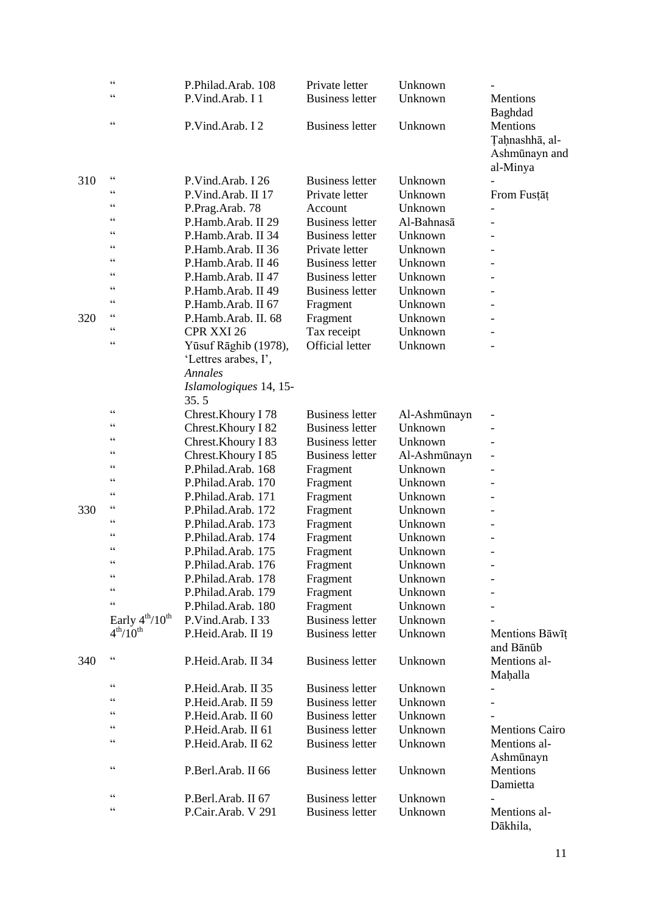|     | $\zeta$ $\zeta$<br>$\zeta$ $\zeta$ | P.Philad.Arab. 108<br>P.Vind.Arab. I 1                         | Private letter<br><b>Business letter</b> | Unknown<br>Unknown | Mentions                                                           |
|-----|------------------------------------|----------------------------------------------------------------|------------------------------------------|--------------------|--------------------------------------------------------------------|
|     | $\zeta$ $\zeta$                    | P.Vind.Arab. I 2                                               | <b>Business letter</b>                   | Unknown            | Baghdad<br>Mentions<br>Taḥnashhā, al-<br>Ashmūnayn and<br>al-Minya |
| 310 | $\zeta$ $\zeta$                    | P.Vind.Arab. I 26                                              | <b>Business letter</b>                   | Unknown            |                                                                    |
|     | $\zeta$ $\zeta$                    | P.Vind.Arab. II 17                                             | Private letter                           | Unknown            | From Fustat                                                        |
|     | $\zeta$ $\zeta$                    | P.Prag.Arab. 78                                                | Account                                  | Unknown            |                                                                    |
|     | $\zeta$ $\zeta$                    | P.Hamb.Arab. II 29                                             | <b>Business letter</b>                   | Al-Bahnasā         |                                                                    |
|     | $\zeta$ $\zeta$                    | P.Hamb.Arab. II 34                                             | <b>Business letter</b>                   | Unknown            |                                                                    |
|     | $\zeta$ $\zeta$                    | P.Hamb.Arab. II 36                                             | Private letter                           | Unknown            |                                                                    |
|     | $\zeta$ $\zeta$                    | P.Hamb.Arab. II 46                                             | <b>Business letter</b>                   | Unknown            |                                                                    |
|     | $\zeta$ $\zeta$                    | P.Hamb.Arab. II 47                                             | <b>Business letter</b>                   | Unknown            |                                                                    |
|     | C C                                | P.Hamb.Arab. II 49                                             | <b>Business letter</b>                   | Unknown            |                                                                    |
|     | $\zeta$ $\zeta$                    | P.Hamb.Arab. II 67                                             | Fragment                                 | Unknown            |                                                                    |
| 320 | $\zeta$ $\zeta$                    | P.Hamb.Arab. II. 68                                            | Fragment                                 | Unknown            |                                                                    |
|     | $\zeta$ $\zeta$                    | CPR XXI 26                                                     | Tax receipt                              | Unknown            |                                                                    |
|     | $\zeta$ $\zeta$                    | Yūsuf Rāghib (1978),<br>'Lettres arabes, I',<br><b>Annales</b> | <b>Official letter</b>                   | Unknown            |                                                                    |
|     |                                    | Islamologiques 14, 15-<br>35.5                                 |                                          |                    |                                                                    |
|     | $\zeta$ $\zeta$                    | Chrest.Khoury I 78                                             | <b>Business letter</b>                   | Al-Ashmūnayn       |                                                                    |
|     | $\subset \subset$                  | Chrest. Khoury I 82                                            | <b>Business letter</b>                   | Unknown            |                                                                    |
|     | $\zeta$ $\zeta$                    | Chrest.Khoury I 83                                             | <b>Business letter</b>                   | Unknown            |                                                                    |
|     | $\zeta$ $\zeta$                    | Chrest.Khoury I 85                                             | <b>Business letter</b>                   | Al-Ashmūnayn       |                                                                    |
|     | $\zeta$ $\zeta$                    | P.Philad.Arab. 168                                             | Fragment                                 | Unknown            |                                                                    |
|     | $\zeta$ $\zeta$                    | P.Philad.Arab. 170                                             | Fragment                                 | Unknown            |                                                                    |
|     | $\zeta$ $\zeta$                    | P.Philad.Arab. 171                                             | Fragment                                 | Unknown            |                                                                    |
| 330 | $\zeta$ $\zeta$                    | P.Philad.Arab. 172                                             | Fragment                                 | Unknown            |                                                                    |
|     | C C                                | P.Philad.Arab. 173                                             | Fragment                                 | Unknown            |                                                                    |
|     | $\zeta$ $\zeta$                    | P.Philad.Arab. 174                                             | Fragment                                 | Unknown            |                                                                    |
|     | $\zeta$ $\zeta$                    | P.Philad.Arab. 175                                             | Fragment                                 | Unknown            |                                                                    |
|     | $\epsilon$                         | P.Philad.Arab. 176                                             | Fragment                                 | Unknown            |                                                                    |
|     | $\zeta$ $\zeta$                    | P.Philad.Arab. 178                                             | Fragment                                 | Unknown            |                                                                    |
|     | $\zeta$ $\zeta$                    | P.Philad.Arab. 179                                             | Fragment                                 | Unknown            |                                                                    |
|     | $\zeta$ $\zeta$                    | P.Philad.Arab. 180                                             | Fragment                                 | Unknown            |                                                                    |
|     | Early $4^{th}/10^{th}$             | P.Vind.Arab. I 33                                              | <b>Business letter</b>                   | Unknown            |                                                                    |
|     | 4 <sup>th</sup> /10 <sup>th</sup>  | P.Heid.Arab. II 19                                             | <b>Business letter</b>                   | Unknown            | Mentions Bāwīț<br>and Bānūb                                        |
| 340 | $\zeta$ $\zeta$                    | P.Heid.Arab. II 34                                             | <b>Business letter</b>                   | Unknown            | Mentions al-<br>Mahalla                                            |
|     | $\zeta$ $\zeta$                    | P.Heid.Arab. II 35                                             | <b>Business letter</b>                   | Unknown            |                                                                    |
|     | $\zeta$ $\zeta$                    | P.Heid.Arab. II 59                                             | <b>Business letter</b>                   | Unknown            |                                                                    |
|     | $\zeta$ $\zeta$                    | P.Heid.Arab. II 60                                             | <b>Business letter</b>                   | Unknown            |                                                                    |
|     | $\zeta$ $\zeta$                    | P.Heid.Arab. II 61                                             | <b>Business letter</b>                   | Unknown            | <b>Mentions Cairo</b>                                              |
|     | $\zeta$ $\zeta$                    | P.Heid.Arab. II 62                                             | <b>Business letter</b>                   | Unknown            | Mentions al-<br>Ashmūnayn                                          |
|     | $\zeta$ $\zeta$                    | P.Berl.Arab. II 66                                             | <b>Business letter</b>                   | Unknown            | Mentions<br>Damietta                                               |
|     | $\zeta$ $\zeta$                    | P.Berl.Arab. II 67                                             | <b>Business letter</b>                   | Unknown            |                                                                    |
|     | $\zeta$ $\zeta$                    | P.Cair.Arab. V 291                                             | <b>Business letter</b>                   | Unknown            | Mentions al-<br>Dākhila,                                           |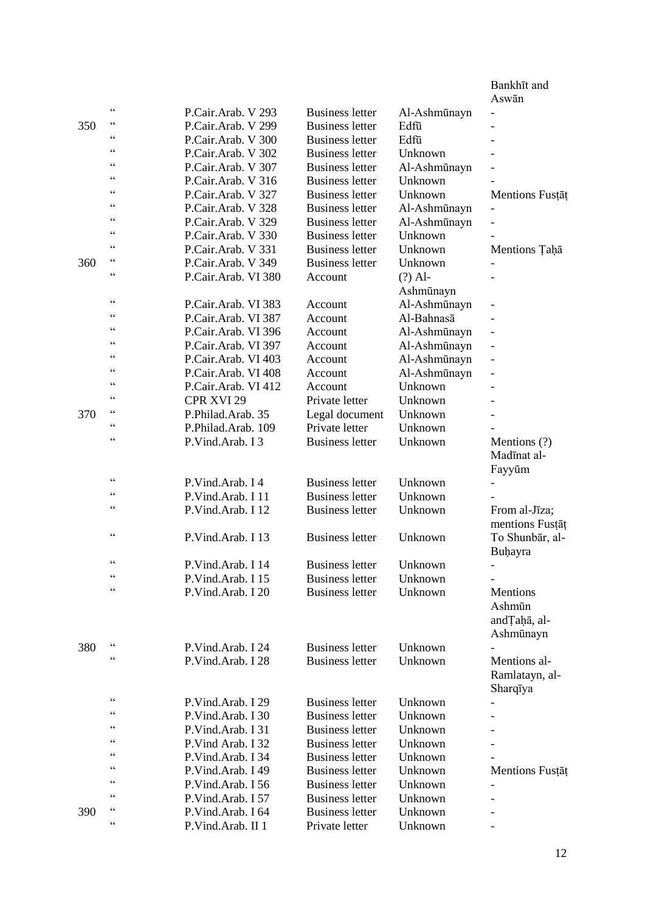|     |                   |                     |                        |              | Bankhīt and               |
|-----|-------------------|---------------------|------------------------|--------------|---------------------------|
|     | $\subset \subset$ |                     |                        |              | Aswān                     |
|     | $\zeta$ $\zeta$   | P.Cair.Arab. V 293  | <b>Business letter</b> | Al-Ashmūnayn | $\overline{\phantom{0}}$  |
| 350 | C                 | P.Cair.Arab. V 299  | <b>Business letter</b> | Edfū         |                           |
|     | C C               | P.Cair.Arab. V 300  | <b>Business letter</b> | Edfū         |                           |
|     | C C               | P.Cair.Arab. V 302  | <b>Business letter</b> | Unknown      |                           |
|     | $\zeta$ $\zeta$   | P.Cair.Arab. V 307  | <b>Business letter</b> | Al-Ashmūnayn |                           |
|     | $\zeta$ $\zeta$   | P.Cair.Arab. V 316  | <b>Business letter</b> | Unknown      |                           |
|     | $\zeta$ $\zeta$   | P.Cair.Arab. V 327  | <b>Business letter</b> | Unknown      | Mentions Fustat           |
|     | $\zeta$ $\zeta$   | P.Cair.Arab. V 328  | <b>Business letter</b> | Al-Ashmūnayn |                           |
|     | $\subset \subset$ | P.Cair.Arab. V 329  | <b>Business letter</b> | Al-Ashmūnayn |                           |
|     | $\zeta$ $\zeta$   | P.Cair.Arab. V 330  | <b>Business letter</b> | Unknown      |                           |
|     | $\subset \subset$ | P.Cair.Arab. V 331  | <b>Business letter</b> | Unknown      | Mentions Taḥā             |
| 360 | $\zeta$ $\zeta$   | P.Cair.Arab. V 349  | <b>Business letter</b> | Unknown      |                           |
|     |                   | P.Cair.Arab. VI 380 | Account                | $(?)$ Al-    |                           |
|     | $\zeta$ $\zeta$   |                     |                        | Ashmūnayn    |                           |
|     | $\zeta$ $\zeta$   | P.Cair.Arab. VI 383 | Account                | Al-Ashmūnayn |                           |
|     | $\subset \subset$ | P.Cair.Arab. VI 387 | Account                | Al-Bahnasā   |                           |
|     | $\zeta$ $\zeta$   | P.Cair.Arab. VI 396 | Account                | Al-Ashmūnayn |                           |
|     | $\subset \subset$ | P.Cair.Arab. VI 397 | Account                | Al-Ashmūnayn | $\overline{\phantom{0}}$  |
|     | $\zeta$ $\zeta$   | P.Cair.Arab. VI 403 | Account                | Al-Ashmūnayn | $\overline{\phantom{0}}$  |
|     | C C               | P.Cair.Arab. VI 408 | Account                | Al-Ashmūnayn | $\overline{a}$            |
|     | C C               | P.Cair.Arab. VI 412 | Account                | Unknown      |                           |
|     | $\subset \subset$ | <b>CPR XVI 29</b>   | Private letter         | Unknown      |                           |
| 370 | C C               | P.Philad.Arab. 35   | Legal document         | Unknown      |                           |
|     | $\zeta$ $\zeta$   | P.Philad.Arab. 109  | Private letter         | Unknown      |                           |
|     |                   | P.Vind.Arab. I 3    | <b>Business letter</b> | Unknown      | Mentions (?)              |
|     |                   |                     |                        |              | Madīnat al-               |
|     | C C               | P.Vind.Arab. I 4    | <b>Business letter</b> | Unknown      | Fayyūm                    |
|     | $\zeta$ $\zeta$   | P.Vind.Arab. I 11   | <b>Business letter</b> | Unknown      |                           |
|     | $\zeta$ $\zeta$   |                     |                        |              |                           |
|     |                   | P.Vind.Arab. I 12   | <b>Business letter</b> | Unknown      | From al-Jīza;             |
|     | $\zeta$ $\zeta$   |                     | <b>Business letter</b> |              | mentions Fustat           |
|     |                   | P.Vind.Arab. I 13   |                        | Unknown      | To Shunbār, al-           |
|     | $\epsilon$        |                     | <b>Business letter</b> |              | Buhayra                   |
|     | $\subset \subset$ | P.Vind.Arab. I 14   |                        | Unknown      |                           |
|     | $\zeta$ $\zeta$   | P.Vind.Arab. I 15   | <b>Business letter</b> | Unknown      |                           |
|     |                   | P.Vind.Arab. I 20   | <b>Business letter</b> | Unknown      | Mentions                  |
|     |                   |                     |                        |              | Ashmūn                    |
|     |                   |                     |                        |              | and <sub>Tah</sub> a, al- |
|     | $\subset \subset$ |                     |                        |              | Ashmūnayn                 |
| 380 | $\zeta$ $\zeta$   | P.Vind.Arab. I 24   | <b>Business letter</b> | Unknown      |                           |
|     |                   | P.Vind.Arab. I 28   | <b>Business letter</b> | Unknown      | Mentions al-              |
|     |                   |                     |                        |              | Ramlatayn, al-            |
|     | $\subset \subset$ |                     |                        |              | Sharqīya                  |
|     | $\subset \subset$ | P.Vind.Arab. I 29   | <b>Business letter</b> | Unknown      |                           |
|     | $\subset \subset$ | P.Vind.Arab. I 30   | <b>Business letter</b> | Unknown      |                           |
|     | $\zeta$ $\zeta$   | P.Vind.Arab. I 31   | <b>Business letter</b> | Unknown      |                           |
|     | $\zeta$ $\zeta$   | P.Vind Arab. I 32   | <b>Business letter</b> | Unknown      |                           |
|     | $\subset \subset$ | P.Vind.Arab. I 34   | <b>Business letter</b> | Unknown      |                           |
|     | C C               | P.Vind.Arab. I 49   | <b>Business letter</b> | Unknown      | Mentions Fustat           |
|     | C C               | P.Vind.Arab. I 56   | <b>Business letter</b> | Unknown      |                           |
|     | $\zeta$ $\zeta$   | P.Vind.Arab. I 57   | <b>Business letter</b> | Unknown      |                           |
| 390 | $\zeta$ $\zeta$   | P.Vind.Arab. I 64   | <b>Business letter</b> | Unknown      |                           |
|     |                   | P.Vind.Arab. II 1   | Private letter         | Unknown      |                           |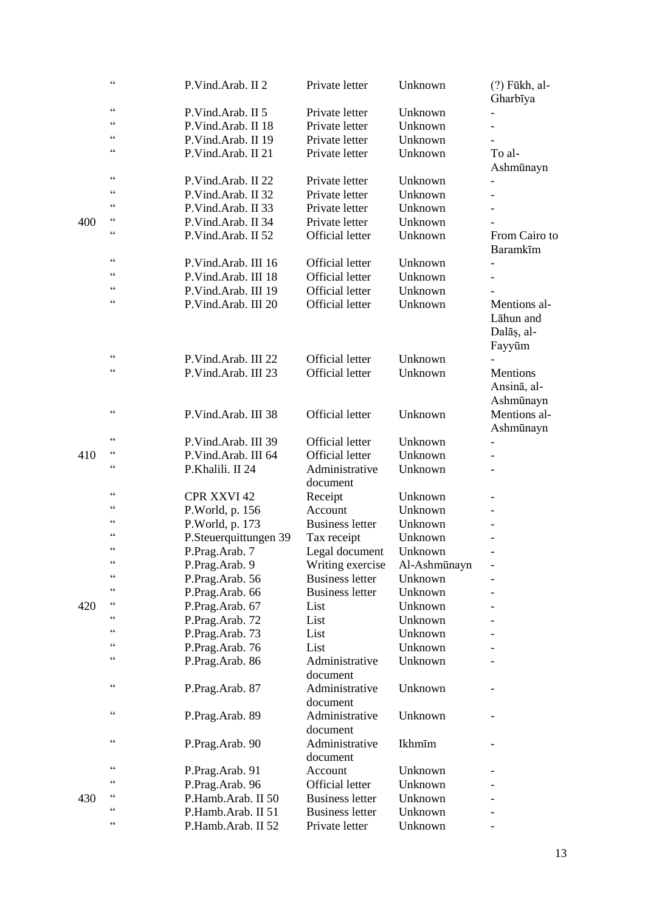|     | $\zeta$ $\zeta$                                   | P.Vind.Arab. II 2     | Private letter             | Unknown      | $(?)$ Fūkh, al-<br>Gharbīya                       |
|-----|---------------------------------------------------|-----------------------|----------------------------|--------------|---------------------------------------------------|
|     | $\zeta$ $\zeta$                                   | P.Vind.Arab. II 5     | Private letter             | Unknown      |                                                   |
|     | $\zeta$ $\zeta$                                   | P.Vind.Arab. II 18    | Private letter             | Unknown      |                                                   |
|     | $\zeta$ $\zeta$                                   | P.Vind.Arab. II 19    | Private letter             | Unknown      |                                                   |
|     | $\zeta$ $\zeta$                                   | P.Vind.Arab. II 21    | Private letter             | Unknown      | To al-<br>Ashmūnayn                               |
|     | $\zeta$ $\zeta$                                   | P.Vind.Arab. II 22    | Private letter             | Unknown      |                                                   |
|     | $\zeta$ $\zeta$                                   | P.Vind.Arab. II 32    | Private letter             | Unknown      |                                                   |
|     | $\zeta$ $\zeta$                                   | P.Vind.Arab. II 33    | Private letter             | Unknown      |                                                   |
| 400 | $\zeta$ $\zeta$                                   | P.Vind.Arab. II 34    | Private letter             | Unknown      |                                                   |
|     | $\zeta$ $\zeta$                                   | P.Vind.Arab. II 52    | <b>Official letter</b>     | Unknown      | From Cairo to<br>Baramkīm                         |
|     | $\zeta$ $\zeta$                                   | P.Vind.Arab. III 16   | <b>Official letter</b>     | Unknown      |                                                   |
|     | $\zeta$ $\zeta$                                   | P.Vind.Arab. III 18   | Official letter            | Unknown      |                                                   |
|     | $\zeta$ $\zeta$                                   | P.Vind.Arab. III 19   | <b>Official letter</b>     | Unknown      |                                                   |
|     | $\zeta$ $\zeta$                                   | P.Vind.Arab. III 20   | <b>Official letter</b>     | Unknown      | Mentions al-<br>Lāhun and<br>Dalāș, al-<br>Fayyūm |
|     | $\zeta$ $\zeta$                                   | P.Vind.Arab. III 22   | <b>Official letter</b>     | Unknown      |                                                   |
|     | $\zeta$ $\zeta$                                   | P.Vind.Arab. III 23   | <b>Official letter</b>     | Unknown      | Mentions<br>Ansina, al-<br>Ashmūnayn              |
|     | $\zeta$ $\zeta$                                   | P.Vind.Arab. III 38   | <b>Official letter</b>     | Unknown      | Mentions al-<br>Ashmūnayn                         |
|     | $\zeta$ $\zeta$                                   | P.Vind.Arab. III 39   | <b>Official letter</b>     | Unknown      | -                                                 |
| 410 | $\zeta$ $\zeta$                                   | P.Vind.Arab. III 64   | <b>Official letter</b>     | Unknown      | $\overline{\phantom{0}}$                          |
|     | $\zeta$ $\zeta$                                   | P.Khalili. II 24      | Administrative<br>document | Unknown      | $\qquad \qquad -$                                 |
|     | $\zeta$ $\zeta$                                   | <b>CPR XXVI 42</b>    | Receipt                    | Unknown      |                                                   |
|     | $\zeta$ $\zeta$                                   | P.World, p. 156       | Account                    | Unknown      |                                                   |
|     | $\zeta$ $\zeta$                                   | P.World, p. 173       | <b>Business letter</b>     | Unknown      |                                                   |
|     | $\zeta$ $\zeta$                                   | P.Steuerquittungen 39 | Tax receipt                | Unknown      |                                                   |
|     | $\zeta$ $\zeta$                                   | P.Prag.Arab. 7        | Legal document             | Unknown      |                                                   |
|     | $\epsilon$                                        | P.Prag.Arab. 9        | Writing exercise           | Al-Ashmūnayn |                                                   |
|     | $\subset \subset$                                 | P.Prag.Arab. 56       | <b>Business letter</b>     | Unknown      |                                                   |
|     | $\zeta$ $\zeta$                                   | P.Prag.Arab. 66       | <b>Business letter</b>     | Unknown      |                                                   |
| 420 | $\zeta$ $\zeta$                                   | P.Prag.Arab. 67       | List                       | Unknown      |                                                   |
|     | $\zeta$ $\zeta$                                   | P.Prag.Arab. 72       | List                       | Unknown      |                                                   |
|     | C                                                 | P.Prag.Arab. 73       | List                       | Unknown      |                                                   |
|     | C C                                               | P.Prag.Arab. 76       | List                       | Unknown      |                                                   |
|     | $\boldsymbol{\varsigma}$ $\boldsymbol{\varsigma}$ | P.Prag.Arab. 86       | Administrative<br>document | Unknown      |                                                   |
|     | $\zeta$ $\zeta$                                   | P.Prag.Arab. 87       | Administrative<br>document | Unknown      |                                                   |
|     | $\zeta$ $\zeta$                                   | P.Prag.Arab. 89       | Administrative<br>document | Unknown      |                                                   |
|     | $\zeta$ $\zeta$                                   | P.Prag.Arab. 90       | Administrative<br>document | Ikhmīm       |                                                   |
|     | $\zeta$ $\zeta$                                   | P.Prag.Arab. 91       | Account                    | Unknown      |                                                   |
|     | C C                                               | P.Prag.Arab. 96       | <b>Official letter</b>     | Unknown      |                                                   |
| 430 | C C                                               | P.Hamb.Arab. II 50    | <b>Business letter</b>     | Unknown      |                                                   |
|     | $\zeta$ $\zeta$                                   | P.Hamb.Arab. II 51    | <b>Business letter</b>     | Unknown      |                                                   |
|     | $\zeta$ $\zeta$                                   | P.Hamb.Arab. II 52    | Private letter             | Unknown      |                                                   |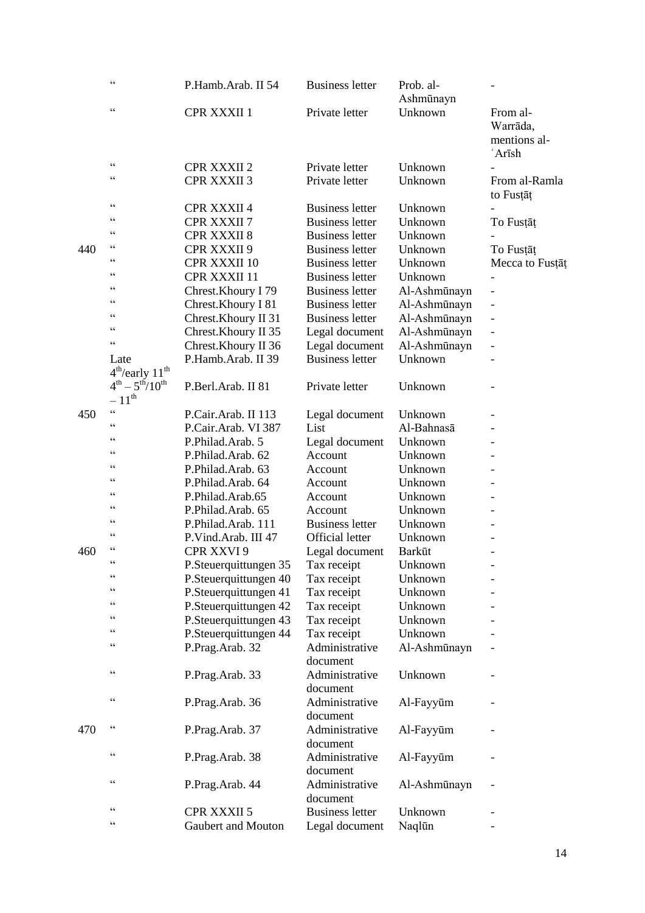|     | $\zeta$ $\zeta$                                | P.Hamb.Arab. II 54    | <b>Business letter</b>             | Prob. al-<br>Ashmūnayn |                            |
|-----|------------------------------------------------|-----------------------|------------------------------------|------------------------|----------------------------|
|     | $\zeta$ $\zeta$                                | CPR XXXII 1           | Private letter                     | Unknown                | From al-<br>Warrāda,       |
|     |                                                |                       |                                    |                        | mentions al-<br>'Arīsh     |
|     | $\zeta$ $\zeta$                                | <b>CPR XXXII 2</b>    | Private letter                     | Unknown                |                            |
|     | $\zeta$ $\zeta$                                | <b>CPR XXXII 3</b>    | Private letter                     | Unknown                | From al-Ramla<br>to Fustat |
|     | $\zeta$ $\zeta$                                | <b>CPR XXXII 4</b>    | <b>Business letter</b>             | Unknown                |                            |
|     | $\zeta$ $\zeta$                                | <b>CPR XXXII 7</b>    | <b>Business letter</b>             | Unknown                | To Fustat                  |
|     | $\zeta$ $\zeta$                                | <b>CPR XXXII 8</b>    | <b>Business letter</b>             | Unknown                |                            |
| 440 | $\zeta$ $\zeta$                                | CPR XXXII 9           | <b>Business letter</b>             | Unknown                | To Fustat                  |
|     | $\zeta$ $\zeta$                                | <b>CPR XXXII 10</b>   | <b>Business letter</b>             | Unknown                | Mecca to Fusțāț            |
|     | $\zeta$ $\zeta$                                | CPR XXXII 11          | <b>Business letter</b>             | Unknown                |                            |
|     | $\zeta$ $\zeta$                                | Chrest.Khoury I 79    | <b>Business letter</b>             | Al-Ashmūnayn           |                            |
|     | $\zeta$ $\zeta$                                | Chrest. Khoury I 81   | <b>Business letter</b>             | Al-Ashmūnayn           |                            |
|     | $\zeta$ $\zeta$                                | Chrest.Khoury II 31   | <b>Business letter</b>             | Al-Ashmūnayn           |                            |
|     | $\zeta$ $\zeta$                                | Chrest.Khoury II 35   | Legal document                     | Al-Ashmūnayn           |                            |
|     | $\zeta$ $\zeta$                                | Chrest.Khoury II 36   | Legal document                     | Al-Ashmūnayn           |                            |
|     | Late                                           | P.Hamb.Arab. II 39    | <b>Business letter</b>             | Unknown                |                            |
|     | $4^{\text{th}}$ /early $11^{\text{th}}$        |                       |                                    |                        |                            |
|     | $4^{th} - 5^{th}/10^{th}$<br>$-11^{\text{th}}$ | P.Berl.Arab. II 81    | Private letter                     | Unknown                |                            |
| 450 | $\zeta$ $\zeta$                                | P.Cair.Arab. II 113   | Legal document                     | Unknown                |                            |
|     | $\zeta$ $\zeta$                                | P.Cair.Arab. VI 387   | List                               | Al-Bahnasā             |                            |
|     | $\zeta$ $\zeta$                                | P.Philad.Arab. 5      | Legal document                     | Unknown                |                            |
|     | $\zeta$ $\zeta$                                | P.Philad.Arab. 62     | Account                            | Unknown                |                            |
|     | $\zeta$ $\zeta$                                | P.Philad.Arab. 63     | Account                            | Unknown                |                            |
|     | $\zeta$ $\zeta$                                | P.Philad.Arab. 64     | Account                            | Unknown                |                            |
|     | $\zeta$ $\zeta$                                | P.Philad.Arab.65      | Account                            | Unknown                |                            |
|     | $\zeta$ $\zeta$                                | P.Philad.Arab. 65     | Account                            | Unknown                |                            |
|     | $\zeta$ $\zeta$                                | P.Philad.Arab. 111    | <b>Business letter</b>             | Unknown                |                            |
|     | $\zeta$ $\zeta$                                | P.Vind.Arab. III 47   | <b>Official letter</b>             | Unknown                |                            |
| 460 | $\zeta$ $\zeta$                                | CPR XXVI 9            | Legal document                     | <b>Barkūt</b>          |                            |
|     | $\subset \subset$                              | P.Steuerquittungen 35 | Tax receipt                        | Unknown                |                            |
|     | $\zeta$ $\zeta$                                | P.Steuerquittungen 40 | Tax receipt                        | Unknown                |                            |
|     | C                                              | P.Steuerquittungen 41 | Tax receipt                        | Unknown                |                            |
|     | C                                              | P.Steuerquittungen 42 | Tax receipt                        | Unknown                |                            |
|     | $\zeta$ $\zeta$                                | P.Steuerquittungen 43 | Tax receipt                        | Unknown                |                            |
|     | $\zeta$ $\zeta$                                | P.Steuerquittungen 44 | Tax receipt                        | Unknown                |                            |
|     | $\zeta$ $\zeta$                                | P.Prag.Arab. 32       | Administrative<br>document         | Al-Ashmūnayn           |                            |
|     | $\zeta$ $\zeta$                                | P.Prag.Arab. 33       | Administrative<br>document         | Unknown                |                            |
|     | $\zeta$ $\zeta$                                | P.Prag.Arab. 36       | Administrative                     | Al-Fayyūm              |                            |
| 470 | $\zeta$ $\zeta$                                | P.Prag.Arab. 37       | document<br>Administrative         | Al-Fayyūm              |                            |
|     | $\zeta$ $\zeta$                                | P.Prag.Arab. 38       | document<br>Administrative         | Al-Fayyūm              |                            |
|     | $\zeta$ $\zeta$                                | P.Prag.Arab. 44       | document<br>Administrative         | Al-Ashmūnayn           |                            |
|     | $\zeta$ $\zeta$                                | <b>CPR XXXII 5</b>    | document<br><b>Business letter</b> | Unknown                |                            |
|     | $\zeta$ $\zeta$                                | Gaubert and Mouton    | Legal document                     | Naqlūn                 |                            |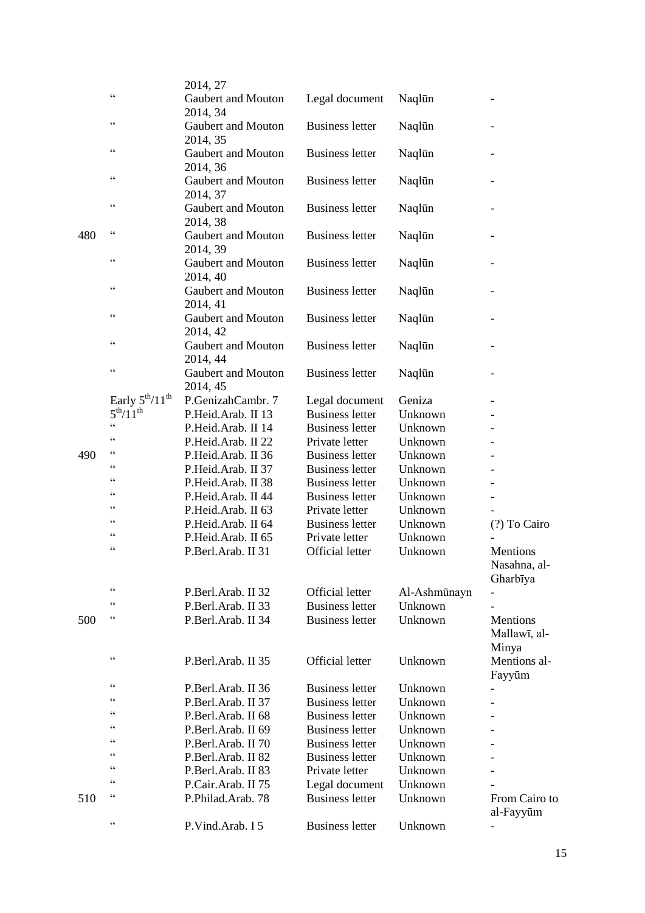|     |                                                   | 2014, 27           |                        |              |                          |
|-----|---------------------------------------------------|--------------------|------------------------|--------------|--------------------------|
|     | $\zeta$ $\zeta$                                   | Gaubert and Mouton | Legal document         | Naqlūn       |                          |
|     |                                                   | 2014, 34           |                        |              |                          |
|     | $\zeta$ $\zeta$                                   | Gaubert and Mouton | <b>Business letter</b> | Naqlūn       |                          |
|     |                                                   | 2014, 35           |                        |              |                          |
|     | $\zeta$ $\zeta$                                   | Gaubert and Mouton | <b>Business letter</b> | Naqlūn       |                          |
|     |                                                   | 2014, 36           |                        |              |                          |
|     | $\zeta$ $\zeta$                                   | Gaubert and Mouton | <b>Business letter</b> | Naqlūn       |                          |
|     |                                                   | 2014, 37           |                        |              |                          |
|     | $\zeta$ $\zeta$                                   | Gaubert and Mouton | <b>Business letter</b> | Naqlūn       |                          |
|     |                                                   | 2014, 38           |                        |              |                          |
| 480 | $\zeta$ $\zeta$                                   | Gaubert and Mouton | <b>Business letter</b> | Naqlūn       |                          |
|     |                                                   | 2014, 39           |                        |              |                          |
|     | $\zeta$ $\zeta$                                   | Gaubert and Mouton | <b>Business letter</b> | Naqlūn       |                          |
|     |                                                   | 2014, 40           |                        |              |                          |
|     | $\zeta$ $\zeta$                                   | Gaubert and Mouton | <b>Business letter</b> | Naqlūn       |                          |
|     |                                                   | 2014, 41           |                        |              |                          |
|     | $\zeta$ $\zeta$                                   | Gaubert and Mouton | <b>Business letter</b> | Naqlūn       |                          |
|     |                                                   | 2014, 42           |                        |              |                          |
|     | $\zeta$ $\zeta$                                   | Gaubert and Mouton | <b>Business letter</b> | Naqlūn       |                          |
|     |                                                   | 2014, 44           |                        |              |                          |
|     | $\zeta$ $\zeta$                                   | Gaubert and Mouton | <b>Business letter</b> | Naqlūn       |                          |
|     |                                                   | 2014, 45           |                        |              |                          |
|     | Early $5^{\text{th}}/11^{\text{th}}$              | P.GenizahCambr. 7  | Legal document         | Geniza       |                          |
|     | $5^{th}/11^{th}$                                  | P.Heid.Arab. II 13 | <b>Business letter</b> | Unknown      |                          |
|     | $\zeta$ $\zeta$                                   | P.Heid.Arab. II 14 | <b>Business letter</b> | Unknown      |                          |
|     | $\zeta$ $\zeta$                                   | P.Heid.Arab. II 22 | Private letter         | Unknown      |                          |
| 490 | $\zeta$ $\zeta$                                   | P.Heid.Arab. II 36 | <b>Business letter</b> | Unknown      |                          |
|     | C C                                               | P.Heid.Arab. II 37 | <b>Business letter</b> | Unknown      |                          |
|     | $\zeta$ $\zeta$                                   | P.Heid.Arab. II 38 | <b>Business letter</b> | Unknown      |                          |
|     | C C                                               | P.Heid.Arab. II 44 | <b>Business letter</b> | Unknown      |                          |
|     | $\zeta$ $\zeta$                                   | P.Heid.Arab. II 63 | Private letter         | Unknown      |                          |
|     | $\boldsymbol{\varsigma}$ $\boldsymbol{\varsigma}$ | P.Heid.Arab. II 64 | <b>Business letter</b> | Unknown      | (?) To Cairo             |
|     | $\zeta$ $\zeta$                                   | P.Heid.Arab. II 65 | Private letter         | Unknown      |                          |
|     | $\zeta$ $\zeta$                                   | P.Berl.Arab. II 31 | <b>Official letter</b> | Unknown      | Mentions                 |
|     |                                                   |                    |                        |              | Nasahna, al-             |
|     |                                                   |                    |                        |              | Gharbīya                 |
|     | $\zeta$ $\zeta$                                   | P.Berl.Arab. II 32 | <b>Official letter</b> | Al-Ashmūnayn |                          |
|     | $\zeta$ $\zeta$                                   | P.Berl.Arab. II 33 | <b>Business letter</b> | Unknown      |                          |
| 500 | $\boldsymbol{\varsigma}$ $\boldsymbol{\varsigma}$ | P.Berl.Arab. II 34 | <b>Business letter</b> | Unknown      | Mentions                 |
|     |                                                   |                    |                        |              | Mallawī, al-             |
|     |                                                   |                    |                        |              | Minya                    |
|     | $\zeta$ $\zeta$                                   | P.Berl.Arab. II 35 | <b>Official letter</b> | Unknown      | Mentions al-             |
|     |                                                   |                    |                        |              | Fayyūm                   |
|     | $\zeta$ $\zeta$<br>$\zeta$ $\zeta$                | P.Berl.Arab. II 36 | <b>Business letter</b> | Unknown      |                          |
|     | C C                                               | P.Berl.Arab. II 37 | <b>Business letter</b> | Unknown      |                          |
|     | $\zeta$ $\zeta$                                   | P.Berl.Arab. II 68 | <b>Business letter</b> | Unknown      |                          |
|     | C C                                               | P.Berl.Arab. II 69 | <b>Business letter</b> | Unknown      |                          |
|     | C                                                 | P.Berl.Arab. II 70 | <b>Business letter</b> | Unknown      |                          |
|     | C C                                               | P.Berl.Arab. II 82 | <b>Business letter</b> | Unknown      |                          |
|     | C C                                               | P.Berl.Arab. II 83 | Private letter         | Unknown      |                          |
|     | $\zeta$ $\zeta$                                   | P.Cair.Arab. II 75 | Legal document         | Unknown      |                          |
| 510 |                                                   | P.Philad.Arab. 78  | <b>Business letter</b> | Unknown      | From Cairo to            |
|     | $\zeta$ $\zeta$                                   |                    |                        |              | al-Fayyūm                |
|     |                                                   | P.Vind.Arab. I 5   | <b>Business letter</b> | Unknown      | $\overline{\phantom{0}}$ |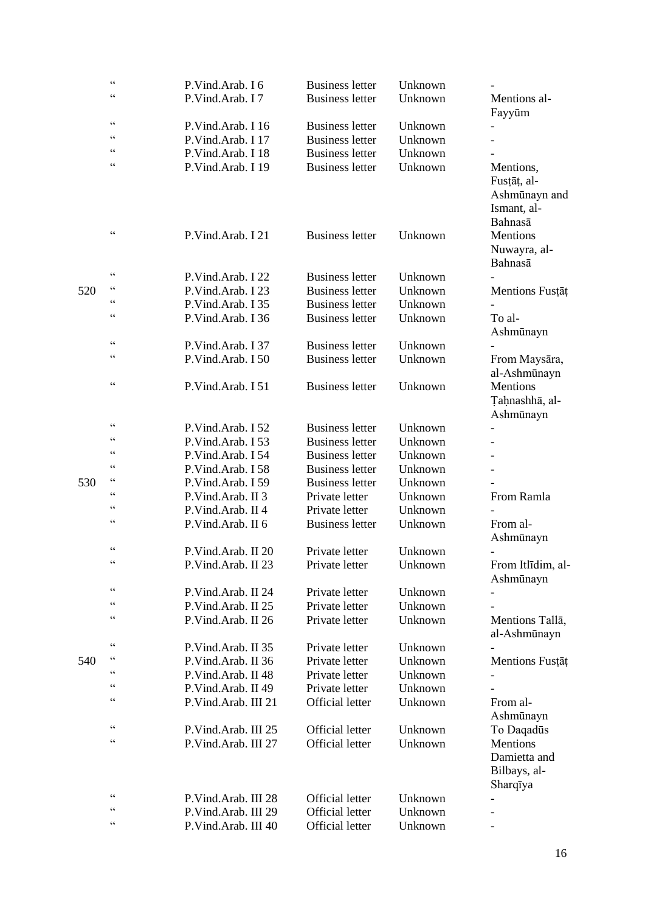|     | $\zeta$ $\zeta$                    | P.Vind.Arab. I 6    | <b>Business letter</b> | Unknown |                                                                     |
|-----|------------------------------------|---------------------|------------------------|---------|---------------------------------------------------------------------|
|     | $\zeta \zeta$                      | P.Vind.Arab. I 7    | <b>Business letter</b> | Unknown | Mentions al-<br>Fayyūm                                              |
|     | $\zeta \zeta$                      | P.Vind.Arab. I 16   | <b>Business letter</b> | Unknown |                                                                     |
|     | $\zeta \zeta$                      | P.Vind.Arab. I 17   | <b>Business letter</b> | Unknown |                                                                     |
|     | $\zeta \zeta$                      | P.Vind.Arab. I 18   | <b>Business letter</b> | Unknown |                                                                     |
|     | $\epsilon$                         | P.Vind.Arab. I 19   | <b>Business letter</b> | Unknown | Mentions,<br>Fustāt, al-<br>Ashmūnayn and<br>Ismant, al-<br>Bahnasā |
|     | $\zeta$ $\zeta$                    | P.Vind.Arab. I 21   | <b>Business letter</b> | Unknown | Mentions<br>Nuwayra, al-<br>Bahnasā                                 |
|     | $\zeta$ $\zeta$                    | P.Vind.Arab. I 22   | <b>Business letter</b> | Unknown |                                                                     |
| 520 | $\zeta$ $\zeta$                    | P.Vind.Arab. I 23   | <b>Business letter</b> | Unknown | Mentions Fustat                                                     |
|     | $\epsilon$                         | P.Vind.Arab. I 35   | <b>Business letter</b> | Unknown |                                                                     |
|     | $\zeta \zeta$                      | P.Vind.Arab. I 36   | <b>Business letter</b> | Unknown | To al-<br>Ashmūnayn                                                 |
|     | $\zeta \zeta$                      | P.Vind.Arab. I 37   | <b>Business letter</b> | Unknown |                                                                     |
|     | $\epsilon$                         | P.Vind.Arab. I 50   | <b>Business letter</b> | Unknown | From Maysāra,<br>al-Ashmūnayn                                       |
|     | $\zeta$ $\zeta$                    | P.Vind.Arab. I 51   | <b>Business letter</b> | Unknown | Mentions<br>Taḥnashhā, al-<br>Ashmūnayn                             |
|     | $\epsilon$                         | P.Vind.Arab. I 52   | <b>Business letter</b> | Unknown |                                                                     |
|     | $\zeta \zeta$                      | P.Vind.Arab. I 53   | <b>Business letter</b> | Unknown |                                                                     |
|     | $\epsilon$                         | P.Vind.Arab. I 54   | <b>Business letter</b> | Unknown |                                                                     |
|     | $\zeta$ $\zeta$                    | P.Vind.Arab. I 58   | <b>Business letter</b> | Unknown |                                                                     |
| 530 | $\zeta$ $\zeta$                    | P.Vind.Arab. I 59   | <b>Business letter</b> | Unknown |                                                                     |
|     | $\zeta \zeta$                      | P.Vind.Arab. II 3   | Private letter         | Unknown | From Ramla                                                          |
|     | $\epsilon$                         | P.Vind.Arab. II 4   | Private letter         | Unknown |                                                                     |
|     | $\epsilon$                         | P.Vind.Arab. II 6   | <b>Business letter</b> | Unknown | From al-<br>Ashmūnayn                                               |
|     | $\zeta$ $\zeta$                    | P.Vind.Arab. II 20  | Private letter         | Unknown |                                                                     |
|     |                                    | P.Vind.Arab. II 23  | Private letter         | Unknown | From Itlīdim, al-<br>Ashmūnayn                                      |
|     | $\zeta$ $\zeta$                    | P.Vind.Arab. II 24  | Private letter         | Unknown |                                                                     |
|     | $\epsilon$                         | P.Vind.Arab. II 25  | Private letter         | Unknown |                                                                     |
|     | $\zeta \zeta$                      | P.Vind.Arab. II 26  | Private letter         | Unknown | Mentions Tallā,<br>al-Ashmūnayn                                     |
|     | $\zeta$ $\zeta$<br>$\zeta$ $\zeta$ | P.Vind.Arab. II 35  | Private letter         | Unknown |                                                                     |
| 540 |                                    | P.Vind.Arab. II 36  | Private letter         | Unknown | Mentions Fustat                                                     |
|     | $\zeta \zeta$                      | P.Vind.Arab. II 48  | Private letter         | Unknown |                                                                     |
|     | $\zeta \zeta$                      | P.Vind.Arab. II 49  | Private letter         | Unknown |                                                                     |
|     | $\zeta \zeta$                      | P.Vind.Arab. III 21 | Official letter        | Unknown | From al-<br>Ashmūnayn                                               |
|     | $\zeta$ $\zeta$                    | P.Vind.Arab. III 25 | <b>Official letter</b> | Unknown | To Daqadūs                                                          |
|     | $\epsilon$                         | P.Vind.Arab. III 27 | <b>Official letter</b> | Unknown | Mentions<br>Damietta and<br>Bilbays, al-<br>Sharqīya                |
|     | $\zeta \zeta$                      | P.Vind.Arab. III 28 | Official letter        | Unknown |                                                                     |
|     | $\zeta \zeta$                      | P.Vind.Arab. III 29 | Official letter        | Unknown |                                                                     |
|     | $\zeta \zeta$                      | P.Vind.Arab. III 40 | Official letter        | Unknown |                                                                     |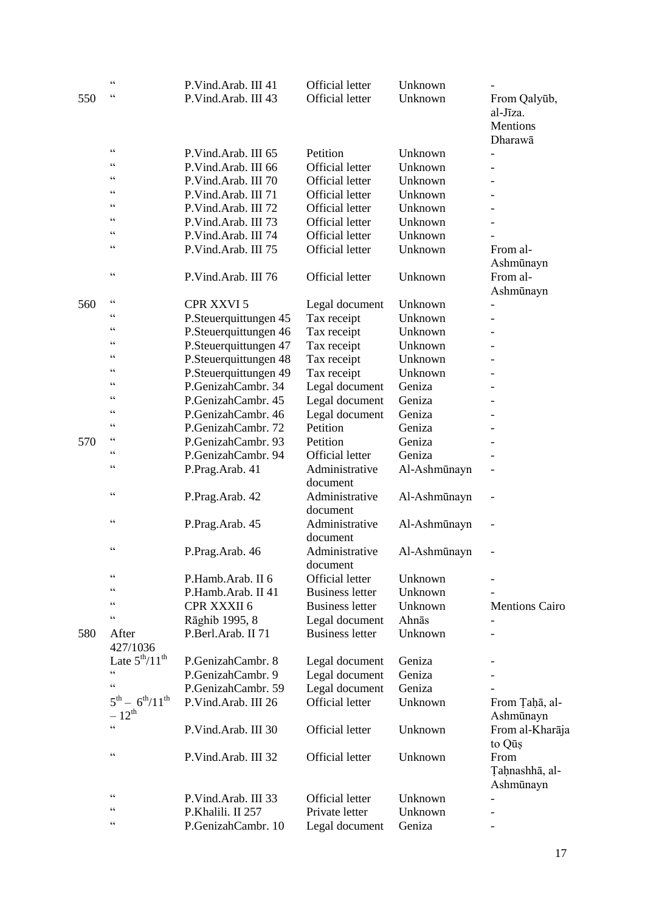|     | $\zeta$ $\zeta$                                   | P.Vind.Arab. III 41                  | <b>Official letter</b>                   | Unknown      |                       |
|-----|---------------------------------------------------|--------------------------------------|------------------------------------------|--------------|-----------------------|
| 550 | $\zeta$ $\zeta$                                   | P.Vind.Arab. III 43                  | <b>Official letter</b>                   | Unknown      | From Qalyūb,          |
|     |                                                   |                                      |                                          |              | al-Jīza.              |
|     |                                                   |                                      |                                          |              | Mentions              |
|     |                                                   |                                      |                                          |              | Dharawā               |
|     | $\zeta$ $\zeta$                                   | P.Vind.Arab. III 65                  | Petition                                 | Unknown      |                       |
|     | $\zeta$ $\zeta$                                   | P.Vind.Arab. III 66                  | <b>Official letter</b>                   | Unknown      |                       |
|     | $\zeta$ $\zeta$                                   | P.Vind.Arab. III 70                  | <b>Official letter</b>                   | Unknown      |                       |
|     | $\zeta$ $\zeta$                                   | P.Vind.Arab. III 71                  | <b>Official letter</b>                   | Unknown      |                       |
|     | $\zeta$ $\zeta$                                   | P.Vind.Arab. III 72                  | <b>Official letter</b>                   | Unknown      |                       |
|     | $\zeta$ $\zeta$                                   | P.Vind.Arab. III 73                  | <b>Official letter</b>                   | Unknown      |                       |
|     | $\zeta$ $\zeta$                                   | P.Vind.Arab. III 74                  | <b>Official letter</b>                   | Unknown      |                       |
|     | $\zeta$ $\zeta$                                   | P.Vind.Arab. III 75                  | <b>Official letter</b>                   | Unknown      | From al-              |
|     |                                                   |                                      |                                          |              | Ashmūnayn             |
|     | $\zeta$ $\zeta$                                   | P.Vind.Arab. III 76                  | <b>Official letter</b>                   | Unknown      | From al-              |
|     |                                                   |                                      |                                          |              | Ashmūnayn             |
| 560 | $\zeta$ $\zeta$                                   | <b>CPR XXVI 5</b>                    | Legal document                           | Unknown      |                       |
|     | C                                                 | P.Steuerquittungen 45                | Tax receipt                              | Unknown      |                       |
|     | $\zeta$ $\zeta$                                   | P.Steuerquittungen 46                | Tax receipt                              | Unknown      |                       |
|     | $\zeta$ $\zeta$                                   | P.Steuerquittungen 47                | Tax receipt                              | Unknown      |                       |
|     | $\zeta$ $\zeta$                                   | P.Steuerquittungen 48                | Tax receipt                              | Unknown      |                       |
|     | $\zeta$ $\zeta$                                   | P.Steuerquittungen 49                | Tax receipt                              | Unknown      |                       |
|     | $\zeta$ $\zeta$                                   | P.GenizahCambr. 34                   | Legal document                           | Geniza       |                       |
|     | $\zeta$ $\zeta$                                   | P.GenizahCambr. 45                   | Legal document                           | Geniza       |                       |
|     | $\zeta$ $\zeta$                                   | P.GenizahCambr. 46                   | Legal document                           | Geniza       |                       |
|     | $\zeta$ $\zeta$                                   | P.GenizahCambr. 72                   | Petition                                 | Geniza       |                       |
| 570 | $\boldsymbol{\varsigma}$ $\boldsymbol{\varsigma}$ | P.GenizahCambr. 93                   | Petition                                 | Geniza       |                       |
|     | $\zeta$ $\zeta$                                   | P.GenizahCambr. 94                   | <b>Official letter</b>                   | Geniza       |                       |
|     | $\zeta$ $\zeta$                                   | P.Prag.Arab. 41                      | Administrative                           | Al-Ashmūnayn |                       |
|     |                                                   |                                      | document                                 |              |                       |
|     | $\zeta$ $\zeta$                                   | P.Prag.Arab. 42                      | Administrative                           | Al-Ashmūnayn | $\overline{a}$        |
|     |                                                   |                                      | document                                 |              |                       |
|     | $\zeta$ $\zeta$                                   | P.Prag.Arab. 45                      | Administrative                           | Al-Ashmūnayn |                       |
|     |                                                   |                                      | document                                 |              |                       |
|     | $\zeta$ $\zeta$                                   | P.Prag.Arab. 46                      | Administrative                           | Al-Ashmūnayn |                       |
|     |                                                   |                                      | document                                 |              |                       |
|     | $\zeta$ $\zeta$                                   | P.Hamb.Arab. II 6                    | Official letter                          | Unknown      |                       |
|     | $\zeta$ $\zeta$                                   | P.Hamb.Arab. II 41                   | <b>Business letter</b>                   | Unknown      |                       |
|     | C C                                               | CPR XXXII 6                          | <b>Business letter</b>                   | Unknown      | <b>Mentions Cairo</b> |
|     | $\zeta$ $\zeta$                                   |                                      |                                          | Ahnās        |                       |
| 580 | After                                             | Rāghib 1995, 8<br>P.Berl.Arab. II 71 | Legal document<br><b>Business letter</b> | Unknown      |                       |
|     | 427/1036                                          |                                      |                                          |              |                       |
|     | Late $5th/11th$                                   | P.GenizahCambr. 8                    |                                          | Geniza       |                       |
|     | $\zeta$ $\zeta$                                   | P.GenizahCambr. 9                    | Legal document                           | Geniza       |                       |
|     | $\zeta$ $\zeta$                                   |                                      | Legal document                           |              |                       |
|     | $5^{th} - 6^{th}/11^{th}$                         | P.GenizahCambr. 59                   | Legal document<br><b>Official letter</b> | Geniza       |                       |
|     | $-12^{th}$                                        | P.Vind.Arab. III 26                  |                                          | Unknown      | From Taha, al-        |
|     | $\epsilon$                                        |                                      |                                          |              | Ashmūnayn             |
|     |                                                   | P.Vind.Arab. III 30                  | <b>Official letter</b>                   | Unknown      | From al-Kharāja       |
|     | $\zeta$ $\zeta$                                   |                                      |                                          |              | to Qus                |
|     |                                                   | P.Vind.Arab. III 32                  | <b>Official letter</b>                   | Unknown      | From                  |
|     |                                                   |                                      |                                          |              | Taḥnashhā, al-        |
|     | $\zeta$ $\zeta$                                   |                                      |                                          |              | Ashmūnayn             |
|     | C C                                               | P.Vind.Arab. III 33                  | <b>Official letter</b>                   | Unknown      |                       |
|     | $\zeta$ $\zeta$                                   | P.Khalili. II 257                    | Private letter                           | Unknown      |                       |
|     |                                                   | P.GenizahCambr. 10                   | Legal document                           | Geniza       |                       |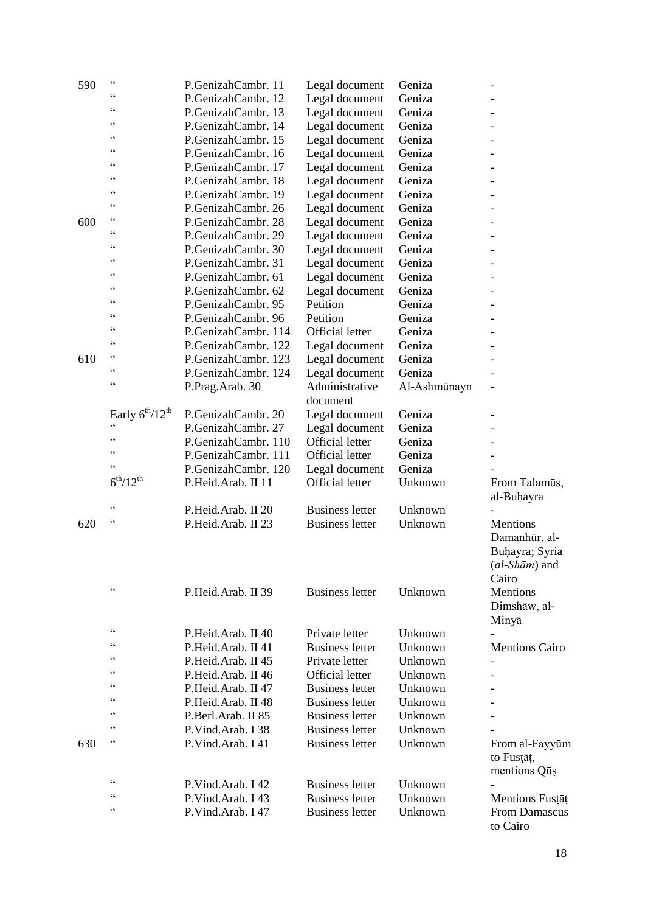| 590 | $\zeta$ $\zeta$        | P.GenizahCambr. 11  | Legal document         | Geniza       |                          |
|-----|------------------------|---------------------|------------------------|--------------|--------------------------|
|     | $\zeta$ $\zeta$        | P.GenizahCambr. 12  | Legal document         | Geniza       |                          |
|     | $\zeta$ $\zeta$        | P.GenizahCambr. 13  | Legal document         | Geniza       |                          |
|     | $\zeta$ $\zeta$        | P.GenizahCambr. 14  | Legal document         | Geniza       |                          |
|     | $\zeta$ $\zeta$        | P.GenizahCambr. 15  | Legal document         | Geniza       |                          |
|     | $\zeta$ $\zeta$        | P.GenizahCambr. 16  | Legal document         | Geniza       |                          |
|     | $\zeta$ $\zeta$        | P.GenizahCambr. 17  | Legal document         | Geniza       |                          |
|     | $\zeta$ $\zeta$        | P.GenizahCambr. 18  | Legal document         | Geniza       |                          |
|     | $\zeta$ $\zeta$        | P.GenizahCambr. 19  | Legal document         | Geniza       |                          |
|     | $\zeta$ $\zeta$        | P.GenizahCambr. 26  | Legal document         | Geniza       |                          |
| 600 | $\zeta$ $\zeta$        | P.GenizahCambr. 28  | Legal document         | Geniza       |                          |
|     | $\zeta$ $\zeta$        | P.GenizahCambr. 29  | Legal document         | Geniza       |                          |
|     | $\zeta$ $\zeta$        | P.GenizahCambr. 30  | Legal document         | Geniza       |                          |
|     | $\zeta$ $\zeta$        | P.GenizahCambr. 31  | Legal document         | Geniza       |                          |
|     | $\zeta$ $\zeta$        | P.GenizahCambr. 61  | Legal document         | Geniza       |                          |
|     | $\zeta$ $\zeta$        | P.GenizahCambr. 62  | Legal document         | Geniza       |                          |
|     | $\zeta$ $\zeta$        | P.GenizahCambr. 95  | Petition               | Geniza       |                          |
|     | $\zeta$ $\zeta$        | P.GenizahCambr. 96  | Petition               | Geniza       |                          |
|     | $\zeta$ $\zeta$        | P.GenizahCambr. 114 | <b>Official letter</b> | Geniza       |                          |
|     | $\zeta$ $\zeta$        | P.GenizahCambr. 122 | Legal document         | Geniza       |                          |
| 610 | $\zeta$ $\zeta$        | P.GenizahCambr. 123 | Legal document         | Geniza       |                          |
|     | $\zeta$ $\zeta$        | P.GenizahCambr. 124 | Legal document         | Geniza       |                          |
|     | $\zeta$ $\zeta$        | P.Prag.Arab. 30     | Administrative         | Al-Ashmūnayn | $\overline{\phantom{0}}$ |
|     |                        |                     | document               |              |                          |
|     | Early $6^{th}/12^{th}$ | P.GenizahCambr. 20  | Legal document         | Geniza       |                          |
|     | $\epsilon$             | P.GenizahCambr. 27  | Legal document         | Geniza       |                          |
|     | $\zeta$ $\zeta$        | P.GenizahCambr. 110 | <b>Official letter</b> | Geniza       |                          |
|     | $\zeta$ $\zeta$        | P.GenizahCambr. 111 | <b>Official letter</b> | Geniza       |                          |
|     | $\zeta$ $\zeta$        | P.GenizahCambr. 120 | Legal document         | Geniza       |                          |
|     | $6^{th}/12^{th}$       | P.Heid.Arab. II 11  | <b>Official letter</b> | Unknown      | From Talamūs,            |
|     |                        |                     |                        |              | al-Buhayra               |
|     | $\zeta$ $\zeta$        | P.Heid.Arab. II 20  | <b>Business letter</b> | Unknown      |                          |
| 620 | $\zeta$ $\zeta$        | P.Heid.Arab. II 23  | <b>Business letter</b> | Unknown      | Mentions                 |
|     |                        |                     |                        |              | Damanhūr, al-            |
|     |                        |                     |                        |              | Buhayra; Syria           |
|     |                        |                     |                        |              | $(al-Sh\bar{a}m)$ and    |
|     |                        |                     |                        |              | Cairo                    |
|     | $\zeta$ $\zeta$        | P.Heid.Arab. II 39  | <b>Business letter</b> | Unknown      | Mentions                 |
|     |                        |                     |                        |              | Dimshāw, al-             |
|     |                        |                     |                        |              | Minyā                    |
|     | $\zeta$ $\zeta$        | P.Heid.Arab. II 40  | Private letter         | Unknown      |                          |
|     | $\zeta$ $\zeta$        | P.Heid.Arab. II 41  | <b>Business letter</b> | Unknown      | <b>Mentions Cairo</b>    |
|     | $\zeta$ $\zeta$        | P.Heid.Arab. II 45  | Private letter         | Unknown      |                          |
|     | $\zeta$ $\zeta$        | P.Heid.Arab. II 46  | <b>Official letter</b> | Unknown      |                          |
|     | $\subset \subset$      | P.Heid.Arab. II 47  | <b>Business letter</b> | Unknown      |                          |
|     | $\zeta$ $\zeta$        | P.Heid.Arab. II 48  | <b>Business letter</b> | Unknown      |                          |
|     | $\zeta$ $\zeta$        | P.Berl.Arab. II 85  | <b>Business letter</b> | Unknown      |                          |
|     | $\zeta$ $\zeta$        | P.Vind.Arab. I 38   | <b>Business letter</b> | Unknown      |                          |
| 630 | $\zeta$ $\zeta$        | P.Vind.Arab. I 41   | <b>Business letter</b> | Unknown      | From al-Fayyūm           |
|     |                        |                     |                        |              | to Fusțāț,               |
|     |                        |                     |                        |              | mentions Qu <sub>s</sub> |
|     | $\zeta$ $\zeta$        | P.Vind.Arab. I 42   | <b>Business letter</b> | Unknown      |                          |
|     | $\zeta$ $\zeta$        | P.Vind.Arab. I 43   | <b>Business letter</b> | Unknown      | Mentions Fustat          |
|     | $\zeta$ $\zeta$        | P.Vind.Arab. I 47   | <b>Business letter</b> | Unknown      | From Damascus            |
|     |                        |                     |                        |              | to Cairo                 |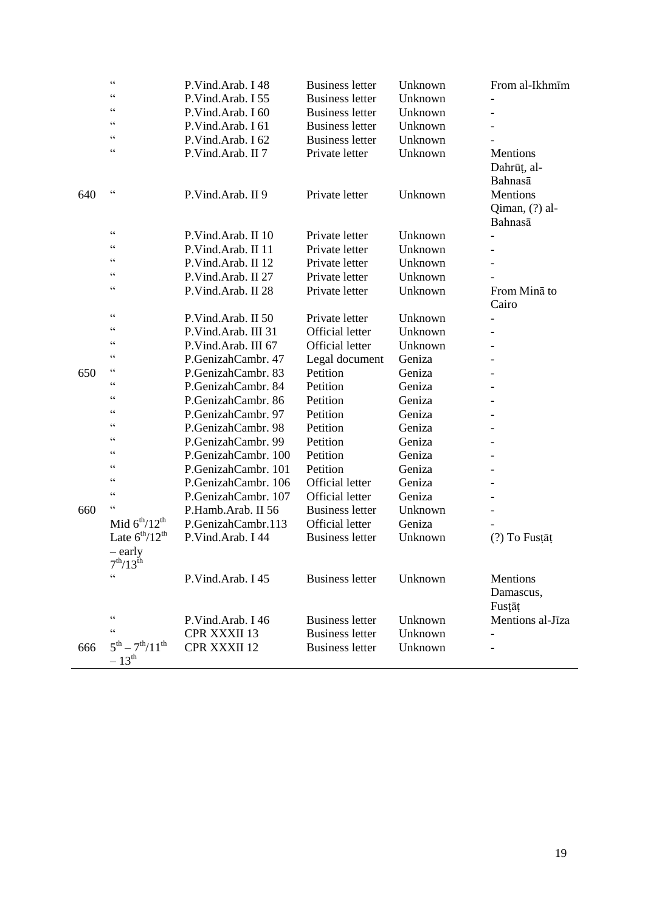|     | $\zeta$ $\zeta$                    | P.Vind.Arab. I 48   | <b>Business letter</b> | Unknown | From al-Ikhmīm   |
|-----|------------------------------------|---------------------|------------------------|---------|------------------|
|     | $\subset \subset$                  | P.Vind.Arab. I 55   | <b>Business letter</b> | Unknown |                  |
|     | $\zeta$ $\zeta$                    | P.Vind.Arab. I 60   | <b>Business letter</b> | Unknown |                  |
|     | $\subset \subset$                  | P.Vind.Arab. I 61   | <b>Business letter</b> | Unknown |                  |
|     | $\zeta$ $\zeta$                    | P.Vind.Arab. I 62   | <b>Business letter</b> | Unknown |                  |
|     | $\zeta$ $\zeta$                    | P.Vind.Arab. II 7   | Private letter         | Unknown | Mentions         |
|     |                                    |                     |                        |         | Dahrūț, al-      |
|     |                                    |                     |                        |         | Bahnasā          |
| 640 | $\zeta$ $\zeta$                    | P.Vind.Arab. II 9   | Private letter         | Unknown | Mentions         |
|     |                                    |                     |                        |         | Qiman, (?) al-   |
|     |                                    |                     |                        |         | Bahnasā          |
|     | $\zeta$ $\zeta$                    | P.Vind.Arab. II 10  | Private letter         | Unknown |                  |
|     | $\subset \subset$                  | P.Vind.Arab. II 11  | Private letter         | Unknown |                  |
|     | $\zeta$ $\zeta$                    | P.Vind.Arab. II 12  | Private letter         | Unknown |                  |
|     | $\zeta$ $\zeta$                    | P.Vind.Arab. II 27  | Private letter         | Unknown |                  |
|     | $\zeta$ $\zeta$                    | P.Vind.Arab. II 28  | Private letter         | Unknown | From Mina to     |
|     |                                    |                     |                        |         | Cairo            |
|     | $\zeta$ $\zeta$                    | P.Vind.Arab. II 50  | Private letter         | Unknown |                  |
|     | $\zeta$ $\zeta$                    | P.Vind.Arab. III 31 | <b>Official letter</b> | Unknown |                  |
|     | $\subset \subset$                  | P.Vind.Arab. III 67 | <b>Official letter</b> | Unknown |                  |
|     | $\zeta$ $\zeta$                    | P.GenizahCambr. 47  | Legal document         | Geniza  |                  |
| 650 | $\subset \subset$                  | P.GenizahCambr. 83  | Petition               | Geniza  |                  |
|     | $\zeta$ $\zeta$                    | P.GenizahCambr. 84  | Petition               | Geniza  |                  |
|     | $\zeta$ $\zeta$                    | P.GenizahCambr. 86  | Petition               | Geniza  |                  |
|     | $\zeta$ $\zeta$<br>$\zeta$ $\zeta$ | P.GenizahCambr. 97  | Petition               | Geniza  |                  |
|     |                                    | P.GenizahCambr. 98  | Petition               | Geniza  |                  |
|     | $\subset \subset$                  | P.GenizahCambr. 99  | Petition               | Geniza  |                  |
|     | $\zeta$ $\zeta$                    | P.GenizahCambr. 100 | Petition               | Geniza  |                  |
|     | $\zeta$ $\zeta$                    | P.GenizahCambr. 101 | Petition               | Geniza  |                  |
|     | $\zeta$ $\zeta$<br>$\zeta$ $\zeta$ | P.GenizahCambr. 106 | <b>Official letter</b> | Geniza  |                  |
|     |                                    | P.GenizahCambr. 107 | Official letter        | Geniza  |                  |
| 660 | $\zeta$ $\zeta$                    | P.Hamb.Arab. II 56  | <b>Business letter</b> | Unknown |                  |
|     | Mid $6^{th}/12^{th}$               | P.GenizahCambr.113  | <b>Official letter</b> | Geniza  |                  |
|     | Late $6^{th}/12^{th}$              | P.Vind.Arab. I 44   | <b>Business letter</b> | Unknown | $(?)$ To Fustat  |
|     | – early                            |                     |                        |         |                  |
|     | $7^{th}/13^{th}$<br>$\epsilon$     |                     |                        |         |                  |
|     |                                    | P.Vind.Arab. I 45   | <b>Business letter</b> | Unknown | Mentions         |
|     |                                    |                     |                        |         | Damascus,        |
|     | $\zeta$ $\zeta$                    |                     |                        |         | Fustāt           |
|     | $\zeta$ $\zeta$                    | P.Vind.Arab. I 46   | <b>Business letter</b> | Unknown | Mentions al-Jīza |
|     | $5^{th} - 7^{th}/11^{th}$          | <b>CPR XXXII 13</b> | <b>Business letter</b> | Unknown |                  |
| 666 |                                    | <b>CPR XXXII 12</b> | <b>Business letter</b> | Unknown |                  |
|     | $-13^{\text{th}}$                  |                     |                        |         |                  |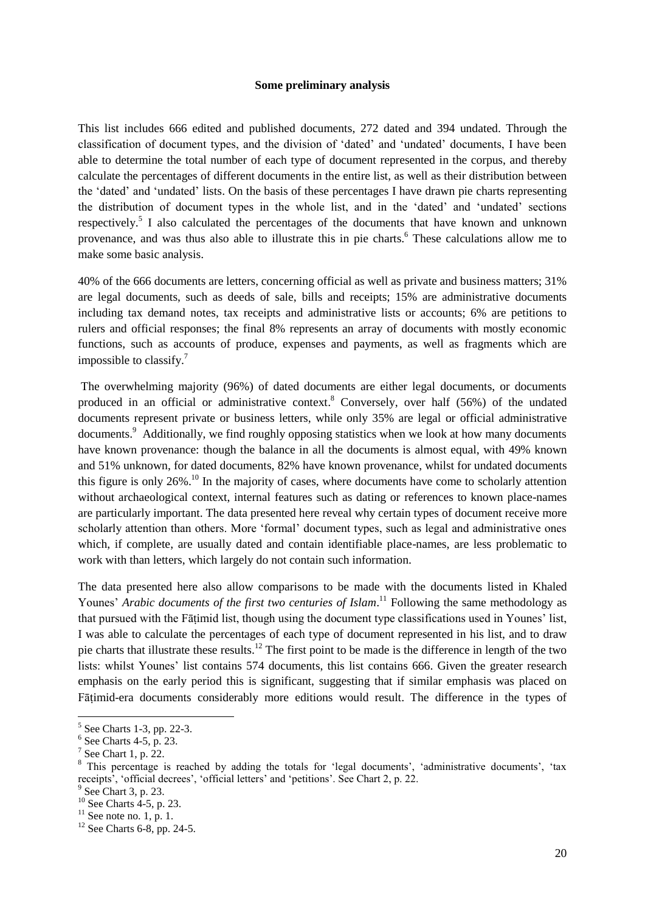#### **Some preliminary analysis**

This list includes 666 edited and published documents, 272 dated and 394 undated. Through the classification of document types, and the division of 'dated' and 'undated' documents, I have been able to determine the total number of each type of document represented in the corpus, and thereby calculate the percentages of different documents in the entire list, as well as their distribution between the 'dated' and 'undated' lists. On the basis of these percentages I have drawn pie charts representing the distribution of document types in the whole list, and in the 'dated' and 'undated' sections respectively.<sup>5</sup> I also calculated the percentages of the documents that have known and unknown provenance, and was thus also able to illustrate this in pie charts.<sup>6</sup> These calculations allow me to make some basic analysis.

40% of the 666 documents are letters, concerning official as well as private and business matters; 31% are legal documents, such as deeds of sale, bills and receipts; 15% are administrative documents including tax demand notes, tax receipts and administrative lists or accounts; 6% are petitions to rulers and official responses; the final 8% represents an array of documents with mostly economic functions, such as accounts of produce, expenses and payments, as well as fragments which are impossible to classify.<sup>7</sup>

The overwhelming majority (96%) of dated documents are either legal documents, or documents produced in an official or administrative context.<sup>8</sup> Conversely, over half (56%) of the undated documents represent private or business letters, while only 35% are legal or official administrative documents.<sup>9</sup> Additionally, we find roughly opposing statistics when we look at how many documents have known provenance: though the balance in all the documents is almost equal, with 49% known and 51% unknown, for dated documents, 82% have known provenance, whilst for undated documents this figure is only  $26\%$ <sup>10</sup>. In the majority of cases, where documents have come to scholarly attention without archaeological context, internal features such as dating or references to known place-names are particularly important. The data presented here reveal why certain types of document receive more scholarly attention than others. More 'formal' document types, such as legal and administrative ones which, if complete, are usually dated and contain identifiable place-names, are less problematic to work with than letters, which largely do not contain such information.

The data presented here also allow comparisons to be made with the documents listed in Khaled Younes' *Arabic documents of the first two centuries of Islam*. <sup>11</sup> Following the same methodology as that pursued with the Fāṭimid list, though using the document type classifications used in Younes' list, I was able to calculate the percentages of each type of document represented in his list, and to draw pie charts that illustrate these results.<sup>12</sup> The first point to be made is the difference in length of the two lists: whilst Younes' list contains 574 documents, this list contains 666. Given the greater research emphasis on the early period this is significant, suggesting that if similar emphasis was placed on Fātimid-era documents considerably more editions would result. The difference in the types of

 $\overline{a}$ 

<sup>5</sup> See Charts 1-3, pp. 22-3.

 $6$  See Charts 4-5, p. 23.

 $7$  See Chart 1, p. 22.

<sup>&</sup>lt;sup>8</sup> This percentage is reached by adding the totals for 'legal documents', 'administrative documents', 'tax receipts', 'official decrees', 'official letters' and 'petitions'. See Chart 2, p. 22.

<sup>9</sup> See Chart 3, p. 23.

 $10$  See Charts 4-5, p. 23.

 $11$  See note no. 1, p. 1.

 $12$  See Charts 6-8, pp. 24-5.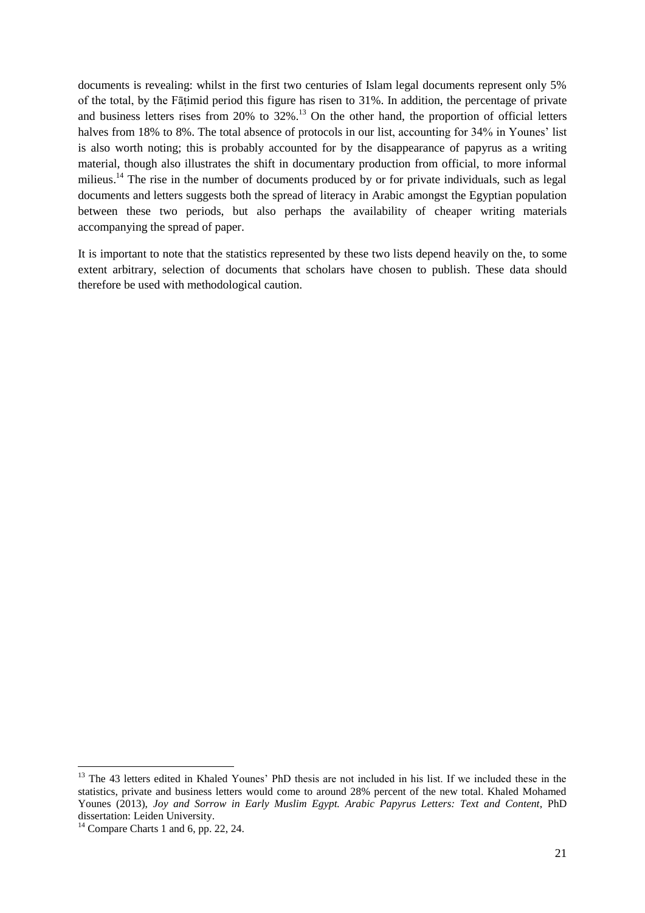documents is revealing: whilst in the first two centuries of Islam legal documents represent only 5% of the total, by the Fāṭimid period this figure has risen to 31%. In addition, the percentage of private and business letters rises from  $20\%$  to  $32\%$ .<sup>13</sup> On the other hand, the proportion of official letters halves from 18% to 8%. The total absence of protocols in our list, accounting for 34% in Younes' list is also worth noting; this is probably accounted for by the disappearance of papyrus as a writing material, though also illustrates the shift in documentary production from official, to more informal milieus.<sup>14</sup> The rise in the number of documents produced by or for private individuals, such as legal documents and letters suggests both the spread of literacy in Arabic amongst the Egyptian population between these two periods, but also perhaps the availability of cheaper writing materials accompanying the spread of paper.

It is important to note that the statistics represented by these two lists depend heavily on the, to some extent arbitrary, selection of documents that scholars have chosen to publish. These data should therefore be used with methodological caution.

**.** 

<sup>&</sup>lt;sup>13</sup> The 43 letters edited in Khaled Younes' PhD thesis are not included in his list. If we included these in the statistics, private and business letters would come to around 28% percent of the new total. Khaled Mohamed Younes (2013), *Joy and Sorrow in Early Muslim Egypt. Arabic Papyrus Letters: Text and Content*, PhD dissertation: Leiden University.

 $14$  Compare Charts 1 and 6, pp. 22, 24.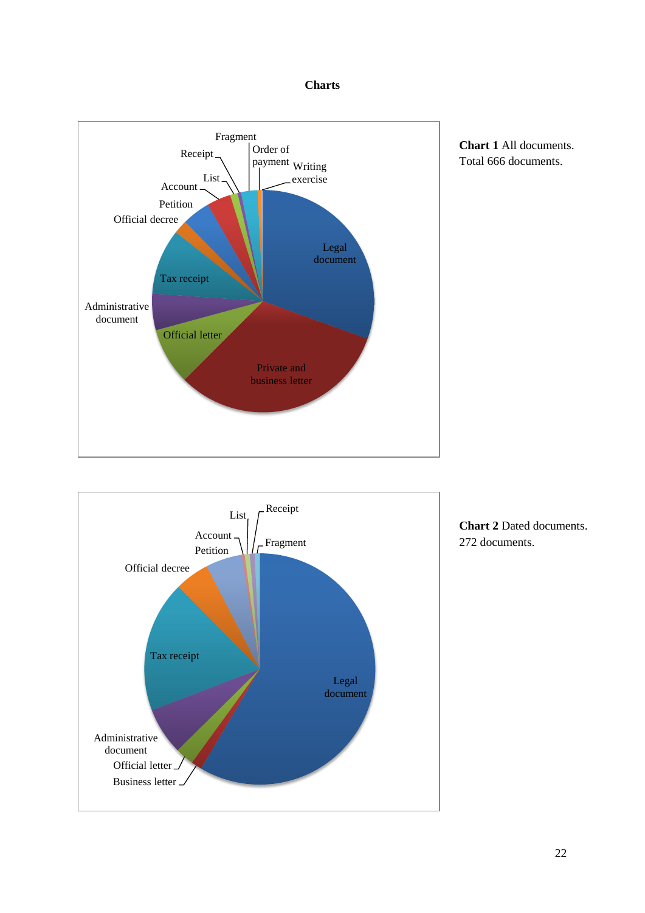### **Charts**







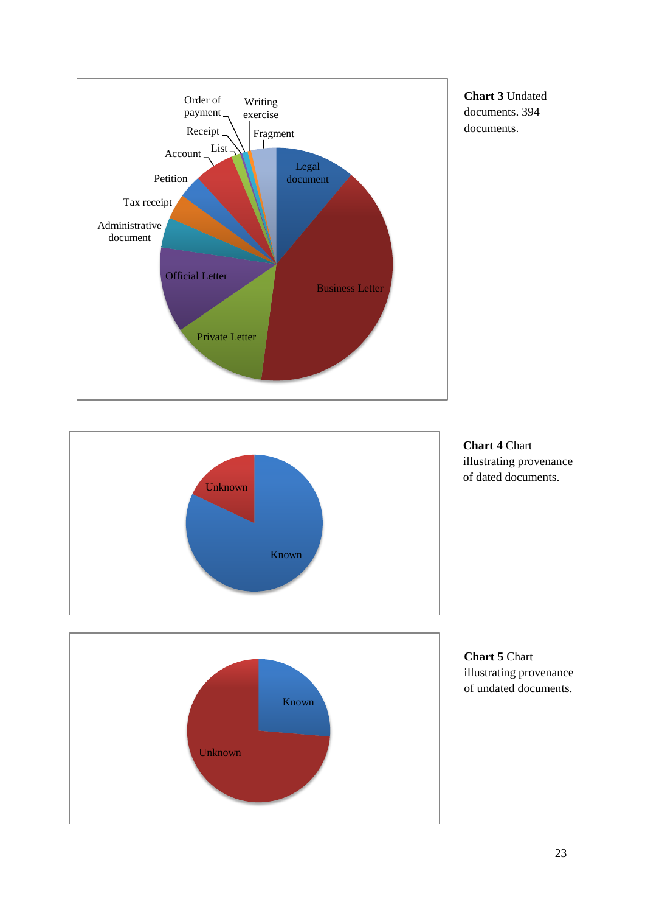

**Chart 3** Undated documents. 394 documents.







**Chart 5** Chart illustrating provenance of undated documents.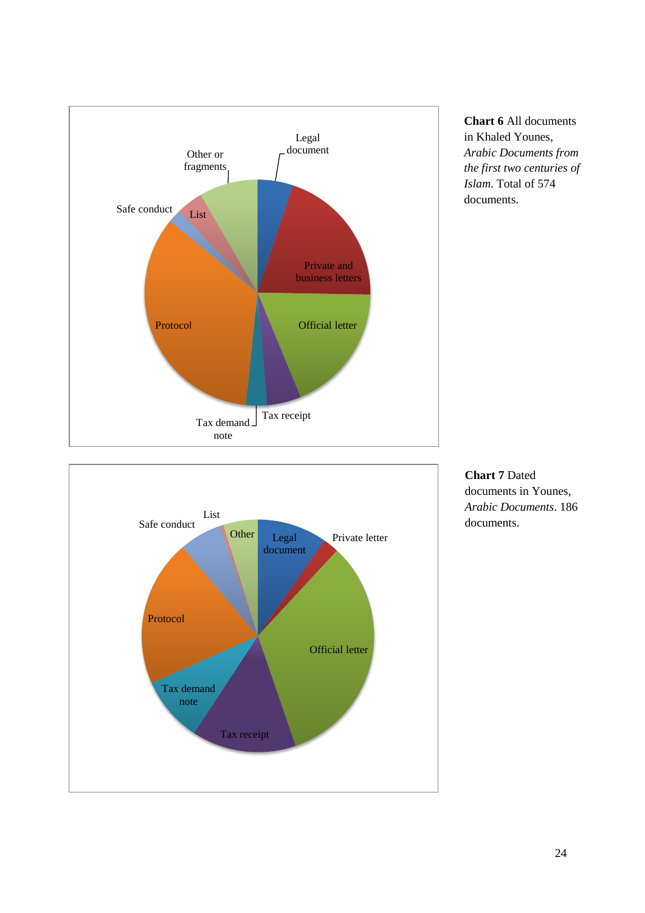

**Chart 6** All documents in Khaled Younes, *Arabic Documents from the first two centuries of Islam*. Total of 574 documents.



**Chart 7** Dated documents in Younes, *Arabic Documents*. 186 documents.